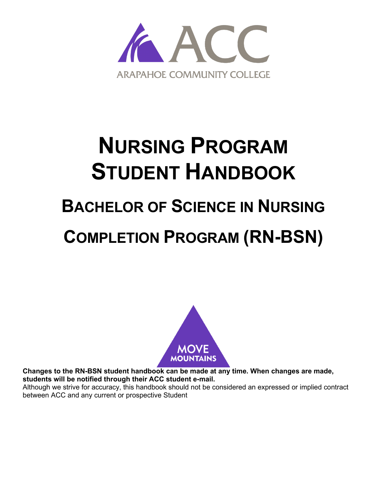

# <span id="page-0-0"></span>**NURSING PROGRAM STUDENT HANDBOOK**

# <span id="page-0-1"></span>**BACHELOR OF SCIENCE IN NURSING**

# **COMPLETION PROGRAM (RN-BSN)**



**Changes to the RN-BSN student handbook can be made at any time. When changes are made, students will be notified through their ACC student e-mail.**

Although we strive for accuracy, this handbook should not be considered an expressed or implied contract between ACC and any current or prospective Student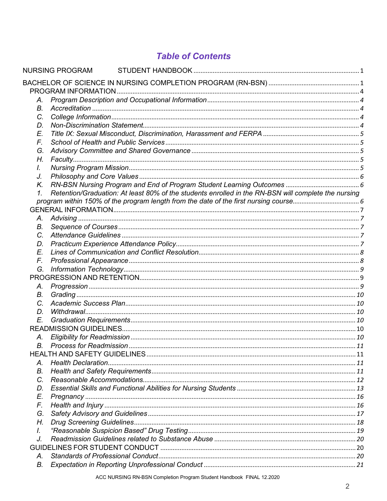# **Table of Contents**

|                 | <b>NURSING PROGRAM</b>                                                                              |  |
|-----------------|-----------------------------------------------------------------------------------------------------|--|
|                 |                                                                                                     |  |
|                 |                                                                                                     |  |
| Α.              |                                                                                                     |  |
| В.              |                                                                                                     |  |
| C.              |                                                                                                     |  |
| D.              |                                                                                                     |  |
| E.              |                                                                                                     |  |
| F.              |                                                                                                     |  |
| G.              |                                                                                                     |  |
| Н.              |                                                                                                     |  |
| I.              |                                                                                                     |  |
| J.              |                                                                                                     |  |
| К.              |                                                                                                     |  |
| $\mathcal{I}$ . | Retention/Graduation: At least 80% of the students enrolled in the RN-BSN will complete the nursing |  |
|                 |                                                                                                     |  |
|                 |                                                                                                     |  |
| Α.              |                                                                                                     |  |
| В.              |                                                                                                     |  |
| C.              |                                                                                                     |  |
| D.              |                                                                                                     |  |
| E.              |                                                                                                     |  |
| F.              |                                                                                                     |  |
| G.              |                                                                                                     |  |
|                 |                                                                                                     |  |
| Α.              |                                                                                                     |  |
| В.              |                                                                                                     |  |
| C.              |                                                                                                     |  |
| D.              |                                                                                                     |  |
| E.              |                                                                                                     |  |
|                 |                                                                                                     |  |
| Α.              |                                                                                                     |  |
|                 |                                                                                                     |  |
|                 |                                                                                                     |  |
| Α.              |                                                                                                     |  |
| В.              |                                                                                                     |  |
| C.              |                                                                                                     |  |
| D.              |                                                                                                     |  |
| E.              |                                                                                                     |  |
| F.              |                                                                                                     |  |
| G.              |                                                                                                     |  |
| Η.              |                                                                                                     |  |
| I.              |                                                                                                     |  |
| J.              |                                                                                                     |  |
|                 |                                                                                                     |  |
| Α.              |                                                                                                     |  |
| В.              |                                                                                                     |  |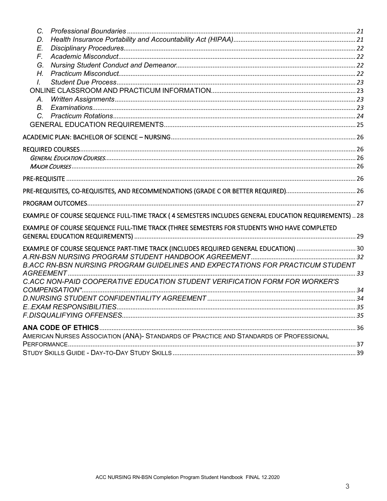| $C_{-}$        |                                                                                                    |  |
|----------------|----------------------------------------------------------------------------------------------------|--|
| D.             |                                                                                                    |  |
| E.             |                                                                                                    |  |
| F.             |                                                                                                    |  |
| G.             |                                                                                                    |  |
| H <sub>r</sub> |                                                                                                    |  |
| L              |                                                                                                    |  |
|                |                                                                                                    |  |
| А.             |                                                                                                    |  |
| B.             |                                                                                                    |  |
| $\mathcal{C}$  |                                                                                                    |  |
|                |                                                                                                    |  |
|                |                                                                                                    |  |
|                |                                                                                                    |  |
|                |                                                                                                    |  |
|                |                                                                                                    |  |
|                |                                                                                                    |  |
|                |                                                                                                    |  |
|                |                                                                                                    |  |
|                | EXAMPLE OF COURSE SEQUENCE FULL-TIME TRACK (4 SEMESTERS INCLUDES GENERAL EDUCATION REQUIREMENTS)28 |  |
|                | EXAMPLE OF COURSE SEQUENCE FULL-TIME TRACK (THREE SEMESTERS FOR STUDENTS WHO HAVE COMPLETED        |  |
|                | EXAMPLE OF COURSE SEQUENCE PART-TIME TRACK (INCLUDES REQUIRED GENERAL EDUCATION)                   |  |
|                |                                                                                                    |  |
|                | B.ACC RN-BSN NURSING PROGRAM GUIDELINES AND EXPECTATIONS FOR PRACTICUM STUDENT                     |  |
|                |                                                                                                    |  |
|                | C.ACC NON-PAID COOPERATIVE EDUCATION STUDENT VERIFICATION FORM FOR WORKER'S                        |  |
|                |                                                                                                    |  |
|                |                                                                                                    |  |
|                |                                                                                                    |  |
|                |                                                                                                    |  |
|                |                                                                                                    |  |
|                | AMERICAN NURSES ASSOCIATION (ANA)- STANDARDS OF PRACTICE AND STANDARDS OF PROFESSIONAL             |  |
|                |                                                                                                    |  |
|                |                                                                                                    |  |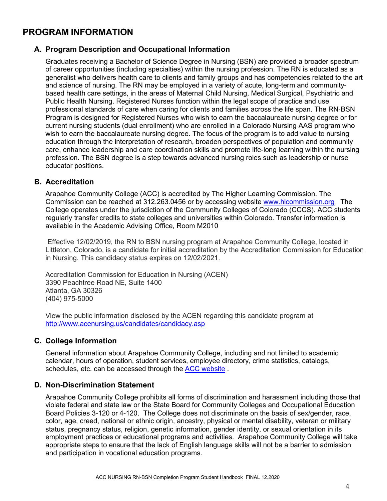# <span id="page-3-0"></span>**PROGRAM INFORMATION**

# <span id="page-3-1"></span>**A. Program Description and Occupational Information**

Graduates receiving a Bachelor of Science Degree in Nursing (BSN) are provided a broader spectrum of career opportunities (including specialties) within the nursing profession. The RN is educated as a generalist who delivers health care to clients and family groups and has competencies related to the art and science of nursing. The RN may be employed in a variety of acute, long-term and communitybased health care settings, in the areas of Maternal Child Nursing, Medical Surgical, Psychiatric and Public Health Nursing. Registered Nurses function within the legal scope of practice and use professional standards of care when caring for clients and families across the life span. The RN‐BSN Program is designed for Registered Nurses who wish to earn the baccalaureate nursing degree or for current nursing students (dual enrollment) who are enrolled in a Colorado Nursing AAS program who wish to earn the baccalaureate nursing degree. The focus of the program is to add value to nursing education through the interpretation of research, broaden perspectives of population and community care, enhance leadership and care coordination skills and promote life‐long learning within the nursing profession. The BSN degree is a step towards advanced nursing roles such as leadership or nurse educator positions.

# <span id="page-3-2"></span>**B. Accreditation**

Arapahoe Community College (ACC) is accredited by The Higher Learning Commission. The Commission can be reached at 312.263.0456 or by accessing website [www.hlcommission.org](http://www.hlcommission.org/) The College operates under the jurisdiction of the Community Colleges of Colorado (CCCS). ACC students regularly transfer credits to state colleges and universities within Colorado. Transfer information is available in the Academic Advising Office, Room M2010

Effective 12/02/2019, the RN to BSN nursing program at Arapahoe Community College, located in Littleton, Colorado, is a candidate for initial accreditation by the Accreditation Commission for Education in Nursing. This candidacy status expires on 12/02/2021.

Accreditation Commission for Education in Nursing (ACEN) 3390 Peachtree Road NE, Suite 1400 Atlanta, GA 30326 (404) 975-5000

View the public information disclosed by the ACEN regarding this candidate program at <http://www.acenursing.us/candidates/candidacy.asp>

### <span id="page-3-3"></span>**C. College Information**

General information about Arapahoe Community College, including and not limited to academic calendar, hours of operation, student services, employee directory, crime statistics, catalogs, schedules, etc. can be accessed through the ACC [website](https://www.arapahoe.edu/) .

### <span id="page-3-4"></span>**D. Non-Discrimination Statement**

Arapahoe Community College prohibits all forms of discrimination and harassment including those that violate federal and state law or the State Board for Community Colleges and Occupational Education Board Policies 3-120 or 4-120. The College does not discriminate on the basis of sex/gender, race, color, age, creed, national or ethnic origin, ancestry, physical or mental disability, veteran or military status, pregnancy status, religion, genetic information, gender identity, or sexual orientation in its employment practices or educational programs and activities. Arapahoe Community College will take appropriate steps to ensure that the lack of English language skills will not be a barrier to admission and participation in vocational education programs.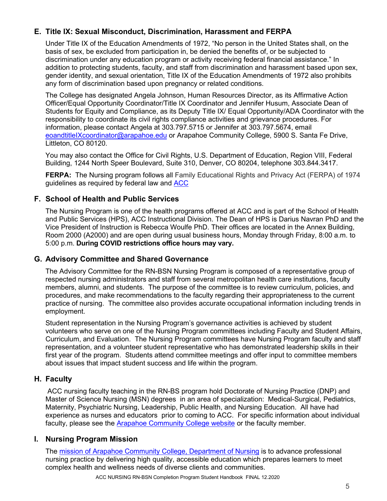# <span id="page-4-0"></span>**E. Title IX: Sexual Misconduct, Discrimination, Harassment and FERPA**

Under Title IX of the Education Amendments of 1972, "No person in the United States shall, on the basis of sex, be excluded from participation in, be denied the benefits of, or be subjected to discrimination under any education program or activity receiving federal financial assistance." In addition to protecting students, faculty, and staff from discrimination and harassment based upon sex, gender identity, and sexual orientation, Title IX of the Education Amendments of 1972 also prohibits any form of discrimination based upon pregnancy or related conditions.

The College has designated Angela Johnson, Human Resources Director, as its Affirmative Action Officer/Equal Opportunity Coordinator/Title IX Coordinator and Jennifer Husum, Associate Dean of Students for Equity and Compliance, as its Deputy Title IX/ Equal Opportunity/ADA Coordinator with the responsibility to coordinate its civil rights compliance activities and grievance procedures. For information, please contact Angela at 303.797.5715 or Jennifer at 303.797.5674, email [eoandtitleIXcoordinator@arapahoe.edu](mailto:eoandtitleIXcoordinator@arapahoe.edu) or Arapahoe Community College, 5900 S. Santa Fe Drive, Littleton, CO 80120.

You may also contact the Office for Civil Rights, U.S. Department of Education, Region VIII, Federal Building, 1244 North Speer Boulevard, Suite 310, Denver, CO 80204, telephone 303.844.3417.

**FERPA:** The Nursing program follows all Family Educational Rights and Privacy Act (FERPA) of 1974 guidelines as required by federal law and [ACC](https://www.arapahoe.edu/advising-support/student-support/legal-notices-and-consumer-information)

# <span id="page-4-1"></span>**F. School of Health and Public Services**

The Nursing Program is one of the health programs offered at ACC and is part of the School of Health and Public Services (HPS), ACC Instructional Division. The Dean of HPS is Darius Navran PhD and the Vice President of Instruction is Rebecca Woulfe PhD. Their offices are located in the Annex Building, Room 2000 (A2000) and are open during usual business hours, Monday through Friday, 8:00 a.m. to 5:00 p.m. **During COVID restrictions office hours may vary.**

# <span id="page-4-2"></span>**G. Advisory Committee and Shared Governance**

The Advisory Committee for the RN-BSN Nursing Program is composed of a representative group of respected nursing administrators and staff from several metropolitan health care institutions, faculty members, alumni, and students. The purpose of the committee is to review curriculum, policies, and procedures, and make recommendations to the faculty regarding their appropriateness to the current practice of nursing. The committee also provides accurate occupational information including trends in employment.

Student representation in the Nursing Program's governance activities is achieved by student volunteers who serve on one of the Nursing Program committees including Faculty and Student Affairs, Curriculum, and Evaluation. The Nursing Program committees have Nursing Program faculty and staff representation, and a volunteer student representative who has demonstrated leadership skills in their first year of the program. Students attend committee meetings and offer input to committee members about issues that impact student success and life within the program.

# <span id="page-4-3"></span>**H. Faculty**

ACC nursing faculty teaching in the RN-BS program hold Doctorate of Nursing Practice (DNP) and Master of Science Nursing (MSN) degrees in an area of specialization: Medical-Surgical, Pediatrics, Maternity, Psychiatric Nursing, Leadership, Public Health, and Nursing Education. All have had experience as nurses and educators prior to coming to ACC. For specific information about individual faculty, please see the [Arapahoe Community College website](http://www.arapahoe.edu/) or the faculty member.

# <span id="page-4-4"></span>**I. Nursing Program Mission**

The [mission of Arapahoe Community College, Department of Nursing](https://www.arapahoe.edu/nursing/mission-and-philosophy) is to advance professional nursing practice by delivering high quality, accessible education which prepares learners to meet complex health and wellness needs of diverse clients and communities.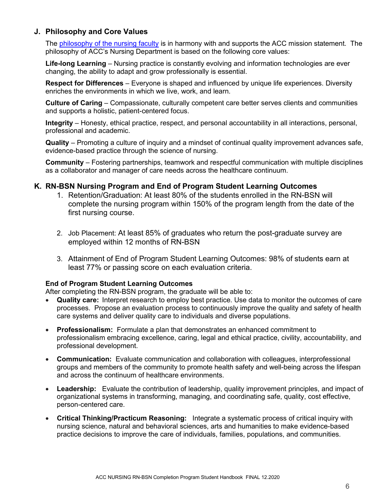# <span id="page-5-0"></span>**J. Philosophy and Core Values**

The [philosophy of the nursing faculty](https://www.arapahoe.edu/nursing/mission-and-philosophy) is in harmony with and supports the ACC mission statement. The philosophy of ACC's Nursing Department is based on the following core values:

**Life-long Learning** – Nursing practice is constantly evolving and information technologies are ever changing, the ability to adapt and grow professionally is essential.

**Respect for Differences** – Everyone is shaped and influenced by unique life experiences. Diversity enriches the environments in which we live, work, and learn.

**Culture of Caring** – Compassionate, culturally competent care better serves clients and communities and supports a holistic, patient-centered focus.

**Integrity** – Honesty, ethical practice, respect, and personal accountability in all interactions, personal, professional and academic.

**Quality** – Promoting a culture of inquiry and a mindset of continual quality improvement advances safe, evidence-based practice through the science of nursing.

**Community** – Fostering partnerships, teamwork and respectful communication with multiple disciplines as a collaborator and manager of care needs across the healthcare continuum.

### <span id="page-5-2"></span><span id="page-5-1"></span>**K. RN-BSN Nursing Program and End of Program Student Learning Outcomes**

- 1. Retention/Graduation: At least 80% of the students enrolled in the RN-BSN will complete the nursing program within 150% of the program length from the date of the first nursing course.
- 2. Job Placement: At least 85% of graduates who return the post-graduate survey are employed within 12 months of RN-BSN
- 3. Attainment of End of Program Student Learning Outcomes: 98% of students earn at least 77% or passing score on each evaluation criteria.

### **End of Program Student Learning Outcomes**

After completing the RN-BSN program, the graduate will be able to:

- **Quality care:** Interpret research to employ best practice. Use data to monitor the outcomes of care processes. Propose an evaluation process to continuously improve the quality and safety of health care systems and deliver quality care to individuals and diverse populations.
- **Professionalism:** Formulate a plan that demonstrates an enhanced commitment to professionalism embracing excellence, caring, legal and ethical practice, civility, accountability, and professional development.
- **Communication:** Evaluate communication and collaboration with colleagues, interprofessional groups and members of the community to promote health safety and well-being across the lifespan and across the continuum of healthcare environments.
- **Leadership:** Evaluate the contribution of leadership, quality improvement principles, and impact of organizational systems in transforming, managing, and coordinating safe, quality, cost effective, person-centered care.
- **Critical Thinking/Practicum Reasoning:** Integrate a systematic process of critical inquiry with nursing science, natural and behavioral sciences, arts and humanities to make evidence-based practice decisions to improve the care of individuals, families, populations, and communities.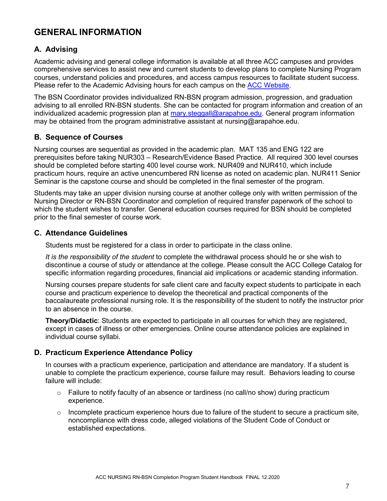# <span id="page-6-0"></span>**GENERAL INFORMATION**

# <span id="page-6-1"></span>**A. Advising**

Academic advising and general college information is available at all three ACC campuses and provides comprehensive services to assist new and current students to develop plans to complete Nursing Program courses, understand policies and procedures, and access campus resources to facilitate student success. Please refer to the Academic Advising hours for each campus on the [ACC Website.](http://www.arapahoe.edu/)

The BSN Coordinator provides individualized RN-BSN program admission, progression, and graduation advising to all enrolled RN-BSN students. She can be contacted for program information and creation of an individualized academic progression plan at [mary.steggall@arapahoe.edu.](mailto:mary.steggall@arapahoe.edu) General program information may be obtained from the program administrative assistant at nursing@arapahoe.edu.

# <span id="page-6-2"></span>**B. Sequence of Courses**

Nursing courses are sequential as provided in the academic plan. MAT 135 and ENG 122 are prerequisites before taking NUR303 – Research/Evidence Based Practice. All required 300 level courses should be completed before starting 400 level course work. NUR409 and NUR410, which include practicum hours, require an active unencumbered RN license as noted on academic plan. NUR411 Senior Seminar is the capstone course and should be completed in the final semester of the program.

Students may take an upper division nursing course at another college only with written permission of the Nursing Director or RN-BSN Coordinator and completion of required transfer paperwork of the school to which the student wishes to transfer. General education courses required for BSN should be completed prior to the final semester of course work.

# <span id="page-6-3"></span>**C. Attendance Guidelines**

Students must be registered for a class in order to participate in the class online.

*It is the responsibility of the student* to complete the withdrawal process should he or she wish to discontinue a course of study or attendance at the college. Please consult the ACC College Catalog for specific information regarding procedures, financial aid implications or academic standing information.

Nursing courses prepare students for safe client care and faculty expect students to participate in each course and practicum experience to develop the theoretical and practical components of the baccalaureate professional nursing role. It is the responsibility of the student to notify the instructor prior to an absence in the course.

**Theory/Didactic**: Students are expected to participate in all courses for which they are registered, except in cases of illness or other emergencies. Online course attendance policies are explained in individual course syllabi.

# <span id="page-6-4"></span>**D. Practicum Experience Attendance Policy**

In courses with a practicum experience, participation and attendance are mandatory. If a student is unable to complete the practicum experience, course failure may result. Behaviors leading to course failure will include:

- $\circ$  Failure to notify faculty of an absence or tardiness (no call/no show) during practicum experience.
- $\circ$  Incomplete practicum experience hours due to failure of the student to secure a practicum site, noncompliance with dress code, alleged violations of the Student Code of Conduct or established expectations.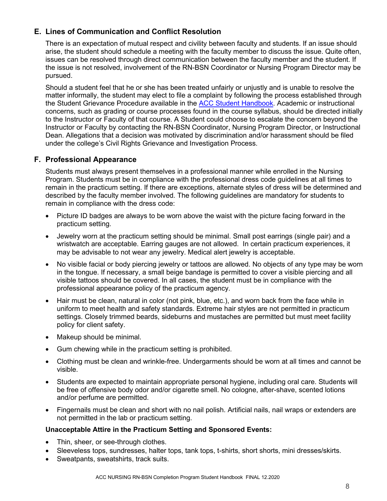# <span id="page-7-0"></span>**E. Lines of Communication and Conflict Resolution**

There is an expectation of mutual respect and civility between faculty and students. If an issue should arise, the student should schedule a meeting with the faculty member to discuss the issue. Quite often, issues can be resolved through direct communication between the faculty member and the student. If the issue is not resolved, involvement of the RN-BSN Coordinator or Nursing Program Director may be pursued.

Should a student feel that he or she has been treated unfairly or unjustly and is unable to resolve the matter informally, the student may elect to file a complaint by following the process established through the Student Grievance Procedure available in the [ACC Student Handbook.](https://www.arapahoe.edu/campus-life/student-handbook) Academic or instructional concerns, such as grading or course processes found in the course syllabus, should be directed initially to the Instructor or Faculty of that course. A Student could choose to escalate the concern beyond the Instructor or Faculty by contacting the RN-BSN Coordinator, Nursing Program Director, or Instructional Dean. Allegations that a decision was motivated by discrimination and/or harassment should be filed under the college's Civil Rights Grievance and Investigation Process.

### <span id="page-7-1"></span>**F. Professional Appearance**

Students must always present themselves in a professional manner while enrolled in the Nursing Program. Students must be in compliance with the professional dress code guidelines at all times to remain in the practicum setting. If there are exceptions, alternate styles of dress will be determined and described by the faculty member involved. The following guidelines are mandatory for students to remain in compliance with the dress code:

- Picture ID badges are always to be worn above the waist with the picture facing forward in the practicum setting.
- Jewelry worn at the practicum setting should be minimal. Small post earrings (single pair) and a wristwatch are acceptable. Earring gauges are not allowed. In certain practicum experiences, it may be advisable to not wear any jewelry. Medical alert jewelry is acceptable.
- No visible facial or body piercing jewelry or tattoos are allowed. No objects of any type may be worn in the tongue. If necessary, a small beige bandage is permitted to cover a visible piercing and all visible tattoos should be covered. In all cases, the student must be in compliance with the professional appearance policy of the practicum agency.
- Hair must be clean, natural in color (not pink, blue, etc.), and worn back from the face while in uniform to meet health and safety standards. Extreme hair styles are not permitted in practicum settings. Closely trimmed beards, sideburns and mustaches are permitted but must meet facility policy for client safety.
- Makeup should be minimal.
- Gum chewing while in the practicum setting is prohibited.
- Clothing must be clean and wrinkle-free. Undergarments should be worn at all times and cannot be visible.
- Students are expected to maintain appropriate personal hygiene, including oral care. Students will be free of offensive body odor and/or cigarette smell. No cologne, after-shave, scented lotions and/or perfume are permitted.
- Fingernails must be clean and short with no nail polish. Artificial nails, nail wraps or extenders are not permitted in the lab or practicum setting.

### **Unacceptable Attire in the Practicum Setting and Sponsored Events:**

- Thin, sheer, or see-through clothes.
- Sleeveless tops, sundresses, halter tops, tank tops, t-shirts, short shorts, mini dresses/skirts.
- Sweatpants, sweatshirts, track suits.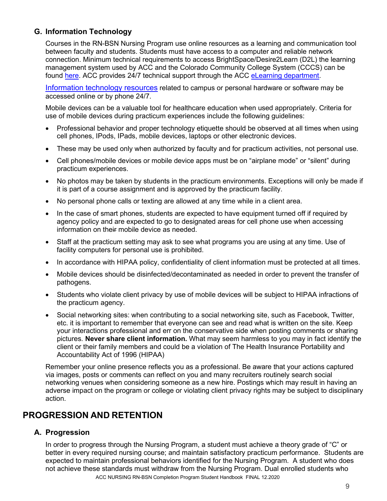# <span id="page-8-0"></span>**G. Information Technology**

Courses in the RN-BSN Nursing Program use online resources as a learning and communication tool between faculty and students. Students must have access to a computer and reliable network connection. Minimum technical requirements to access BrightSpace/Desire2Learn (D2L) the learning management system used by ACC and the Colorado Community College System (CCCS) can be found [here.](https://documentation.brightspace.com/EN/brightspace/requirements/all/browser_support.htm) ACC provides 24/7 technical support through the ACC [eLearning department.](https://www.arapahoe.edu/about-acc/locations/online)

[Information technology resources](https://www.arapahoe.edu/campus-community/technology-acc) related to campus or personal hardware or software may be accessed online or by phone 24/7.

Mobile devices can be a valuable tool for healthcare education when used appropriately. Criteria for use of mobile devices during practicum experiences include the following guidelines:

- Professional behavior and proper technology etiquette should be observed at all times when using cell phones, IPods, IPads, mobile devices, laptops or other electronic devices.
- These may be used only when authorized by faculty and for practicum activities, not personal use.
- Cell phones/mobile devices or mobile device apps must be on "airplane mode" or "silent" during practicum experiences.
- No photos may be taken by students in the practicum environments. Exceptions will only be made if it is part of a course assignment and is approved by the practicum facility.
- No personal phone calls or texting are allowed at any time while in a client area.
- In the case of smart phones, students are expected to have equipment turned off if required by agency policy and are expected to go to designated areas for cell phone use when accessing information on their mobile device as needed.
- Staff at the practicum setting may ask to see what programs you are using at any time. Use of facility computers for personal use is prohibited.
- In accordance with HIPAA policy, confidentiality of client information must be protected at all times.
- Mobile devices should be disinfected/decontaminated as needed in order to prevent the transfer of pathogens.
- Students who violate client privacy by use of mobile devices will be subject to HIPAA infractions of the practicum agency.
- Social networking sites: when contributing to a social networking site, such as Facebook, Twitter, etc. it is important to remember that everyone can see and read what is written on the site. Keep your interactions professional and err on the conservative side when posting comments or sharing pictures. **Never share client information.** What may seem harmless to you may in fact identify the client or their family members and could be a violation of The Health Insurance Portability and Accountability Act of 1996 (HIPAA)

Remember your online presence reflects you as a professional. Be aware that your actions captured via images, posts or comments can reflect on you and many recruiters routinely search social networking venues when considering someone as a new hire. Postings which may result in having an adverse impact on the program or college or violating client privacy rights may be subject to disciplinary action.

# <span id="page-8-1"></span>**PROGRESSION AND RETENTION**

# <span id="page-8-2"></span>**A. Progression**

ACC NURSING RN-BSN Completion Program Student Handbook FINAL 12.2020 In order to progress through the Nursing Program, a student must achieve a theory grade of "C" or better in every required nursing course; and maintain satisfactory practicum performance. Students are expected to maintain professional behaviors identified for the Nursing Program. A student who does not achieve these standards must withdraw from the Nursing Program. Dual enrolled students who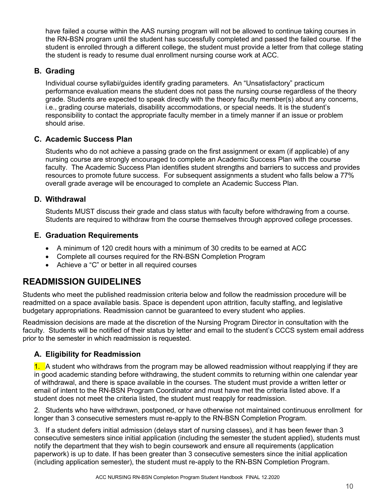have failed a course within the AAS nursing program will not be allowed to continue taking courses in the RN-BSN program until the student has successfully completed and passed the failed course. If the student is enrolled through a different college, the student must provide a letter from that college stating the student is ready to resume dual enrollment nursing course work at ACC.

# <span id="page-9-0"></span>**B. Grading**

Individual course syllabi/guides identify grading parameters. An "Unsatisfactory" practicum performance evaluation means the student does not pass the nursing course regardless of the theory grade. Students are expected to speak directly with the theory faculty member(s) about any concerns, i.e., grading course materials, disability accommodations, or special needs. It is the student's responsibility to contact the appropriate faculty member in a timely manner if an issue or problem should arise.

# <span id="page-9-1"></span>**C. Academic Success Plan**

Students who do not achieve a passing grade on the first assignment or exam (if applicable) of any nursing course are strongly encouraged to complete an Academic Success Plan with the course faculty. The Academic Success Plan identifies student strengths and barriers to success and provides resources to promote future success. For subsequent assignments a student who falls below a 77% overall grade average will be encouraged to complete an Academic Success Plan.

# <span id="page-9-2"></span>**D. Withdrawal**

Students MUST discuss their grade and class status with faculty before withdrawing from a course. Students are required to withdraw from the course themselves through approved college processes.

# <span id="page-9-3"></span>**E. Graduation Requirements**

- A minimum of 120 credit hours with a minimum of 30 credits to be earned at ACC
- Complete all courses required for the RN-BSN Completion Program
- Achieve a "C" or better in all required courses

# <span id="page-9-4"></span>**READMISSION GUIDELINES**

Students who meet the published readmission criteria below and follow the readmission procedure will be readmitted on a space available basis. Space is dependent upon attrition, faculty staffing, and legislative budgetary appropriations. Readmission cannot be guaranteed to every student who applies.

Readmission decisions are made at the discretion of the Nursing Program Director in consultation with the faculty. Students will be notified of their status by letter and email to the student's CCCS system email address prior to the semester in which readmission is requested.

# <span id="page-9-5"></span>**A. Eligibility for Readmission**

1. A student who withdraws from the program may be allowed readmission without reapplying if they are in good academic standing before withdrawing, the student commits to returning within one calendar year of withdrawal, and there is space available in the courses. The student must provide a written letter or email of intent to the RN-BSN Program Coordinator and must have met the criteria listed above. If a student does not meet the criteria listed, the student must reapply for readmission.

2. Students who have withdrawn, postponed, or have otherwise not maintained continuous enrollment for longer than 3 consecutive semesters must re-apply to the RN-BSN Completion Program.

3. If a student defers initial admission (delays start of nursing classes), and it has been fewer than 3 consecutive semesters since initial application (including the semester the student applied), students must notify the department that they wish to begin coursework and ensure all requirements (application paperwork) is up to date. If has been greater than 3 consecutive semesters since the initial application (including application semester), the student must re-apply to the RN-BSN Completion Program.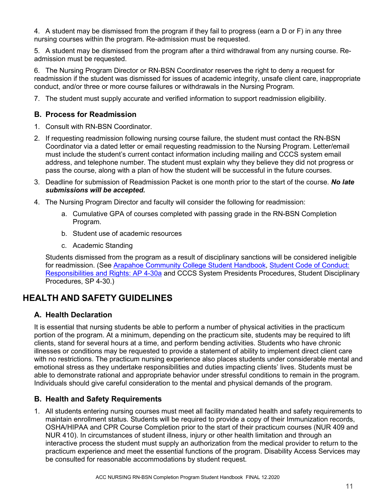4. A student may be dismissed from the program if they fail to progress (earn a D or F) in any three nursing courses within the program. Re-admission must be requested.

5. A student may be dismissed from the program after a third withdrawal from any nursing course. Readmission must be requested.

6. The Nursing Program Director or RN-BSN Coordinator reserves the right to deny a request for readmission if the student was dismissed for issues of academic integrity, unsafe client care, inappropriate conduct, and/or three or more course failures or withdrawals in the Nursing Program.

7. The student must supply accurate and verified information to support readmission eligibility.

# <span id="page-10-0"></span>**B. Process for Readmission**

- 1. Consult with RN-BSN Coordinator.
- 2. If requesting readmission following nursing course failure, the student must contact the RN-BSN Coordinator via a dated letter or email requesting readmission to the Nursing Program. Letter/email must include the student's current contact information including mailing and CCCS system email address, and telephone number. The student must explain why they believe they did not progress or pass the course, along with a plan of how the student will be successful in the future courses.
- 3. Deadline for submission of Readmission Packet is one month prior to the start of the course. *No late submissions will be accepted.*
- 4. The Nursing Program Director and faculty will consider the following for readmission:
	- a. Cumulative GPA of courses completed with passing grade in the RN-BSN Completion Program.
	- b. Student use of academic resources
	- c. Academic Standing

Students dismissed from the program as a result of disciplinary sanctions will be considered ineligible for readmission. (See [Arapahoe Community College Student Handbook,](https://www.arapahoe.edu/campus-life/student-handbook) [Student Code of Conduct:](https://www.arapahoe.edu/about-acc/college-business-services/policies-procedures/ap-4-30a-student-code-conduct-responsibilities-and-rights)  [Responsibilities and Rights: AP 4-30a](https://www.arapahoe.edu/about-acc/college-business-services/policies-procedures/ap-4-30a-student-code-conduct-responsibilities-and-rights) and CCCS System Presidents Procedures, Student Disciplinary Procedures, SP 4-30.)

# <span id="page-10-1"></span>**HEALTH AND SAFETY GUIDELINES**

# <span id="page-10-2"></span>**A. Health Declaration**

It is essential that nursing students be able to perform a number of physical activities in the practicum portion of the program. At a minimum, depending on the practicum site, students may be required to lift clients, stand for several hours at a time, and perform bending activities. Students who have chronic illnesses or conditions may be requested to provide a statement of ability to implement direct client care with no restrictions. The practicum nursing experience also places students under considerable mental and emotional stress as they undertake responsibilities and duties impacting clients' lives. Students must be able to demonstrate rational and appropriate behavior under stressful conditions to remain in the program. Individuals should give careful consideration to the mental and physical demands of the program.

# <span id="page-10-3"></span>**B. Health and Safety Requirements**

1. All students entering nursing courses must meet all facility mandated health and safety requirements to maintain enrollment status. Students will be required to provide a copy of their Immunization records, OSHA/HIPAA and CPR Course Completion prior to the start of their practicum courses (NUR 409 and NUR 410). In circumstances of student illness, injury or other health limitation and through an interactive process the student must supply an authorization from the medical provider to return to the practicum experience and meet the essential functions of the program. Disability Access Services may be consulted for reasonable accommodations by student request.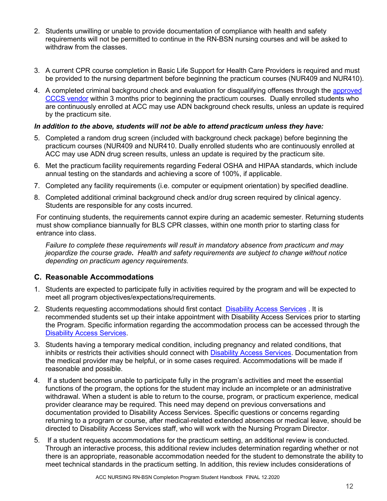- 2. Students unwilling or unable to provide documentation of compliance with health and safety requirements will not be permitted to continue in the RN-BSN nursing courses and will be asked to withdraw from the classes.
- 3. A current CPR course completion in Basic Life Support for Health Care Providers is required and must be provided to the nursing department before beginning the practicum courses (NUR409 and NUR410).
- 4. A completed criminal background check and evaluation for disqualifying offenses through the approved [CCCS vendor](https://cccs.castlebranch.com/) within 3 months prior to beginning the practicum courses. Dually enrolled students who are continuously enrolled at ACC may use ADN background check results, unless an update is required by the practicum site.

### *In addition to the above, students will not be able to attend practicum unless they have:*

- 5. Completed a random drug screen (included with background check package) before beginning the practicum courses (NUR409 and NUR410. Dually enrolled students who are continuously enrolled at ACC may use ADN drug screen results, unless an update is required by the practicum site.
- 6. Met the practicum facility requirements regarding Federal OSHA and HIPAA standards, which include annual testing on the standards and achieving a score of 100%, if applicable.
- 7. Completed any facility requirements (i.e. computer or equipment orientation) by specified deadline.
- 8. Completed additional criminal background check and/or drug screen required by clinical agency. Students are responsible for any costs incurred.

For continuing students, the requirements cannot expire during an academic semester. Returning students must show compliance biannually for BLS CPR classes, within one month prior to starting class for entrance into class.

*Failure to complete these requirements will result in mandatory absence from practicum and may jeopardize the course grade***.** *Health and safety requirements are subject to change without notice depending on practicum agency requirements.*

### <span id="page-11-0"></span>**C. Reasonable Accommodations**

- 1. Students are expected to participate fully in activities required by the program and will be expected to meet all program objectives/expectations/requirements.
- 2. Students requesting accommodations should first contact [Disability Access Services](https://www.arapahoe.edu/advising-support/disability-access-services) . It is recommended students set up their intake appointment with Disability Access Services prior to starting the Program. Specific information regarding the accommodation process can be accessed through the [Disability Access Services.](https://www.arapahoe.edu/advising-support/disability-access-services)
- 3. Students having a temporary medical condition, including pregnancy and related conditions, that inhibits or restricts their activities should connect with Disability [Access Services.](https://www.arapahoe.edu/advising-support/disability-access-services) Documentation from the medical provider may be helpful, or in some cases required. Accommodations will be made if reasonable and possible.
- 4. If a student becomes unable to participate fully in the program's activities and meet the essential functions of the program, the options for the student may include an incomplete or an administrative withdrawal. When a student is able to return to the course, program, or practicum experience, medical provider clearance may be required. This need may depend on previous conversations and documentation provided to Disability Access Services. Specific questions or concerns regarding returning to a program or course, after medical-related extended absences or medical leave, should be directed to Disability Access Services staff, who will work with the Nursing Program Director.
- 5. If a student requests accommodations for the practicum setting, an additional review is conducted. Through an interactive process, this additional review includes determination regarding whether or not there is an appropriate, reasonable accommodation needed for the student to demonstrate the ability to meet technical standards in the practicum setting. In addition, this review includes considerations of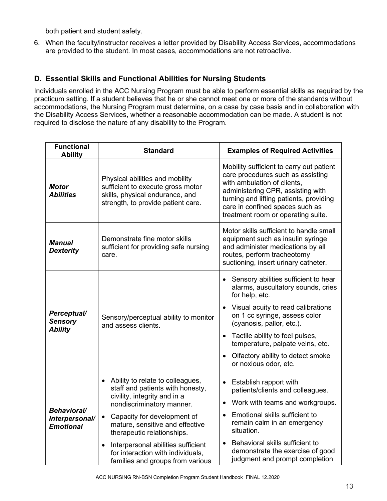both patient and student safety.

6. When the faculty/instructor receives a letter provided by Disability Access Services, accommodations are provided to the student. In most cases, accommodations are not retroactive.

# <span id="page-12-0"></span>**D. Essential Skills and Functional Abilities for Nursing Students**

Individuals enrolled in the ACC Nursing Program must be able to perform essential skills as required by the practicum setting. If a student believes that he or she cannot meet one or more of the standards without accommodations, the Nursing Program must determine, on a case by case basis and in collaboration with the Disability Access Services, whether a reasonable accommodation can be made. A student is not required to disclose the nature of any disability to the Program.

| <b>Functional</b><br><b>Ability</b>                      | <b>Standard</b>                                                                                                                                                                                                                                                                                                                                                                         | <b>Examples of Required Activities</b>                                                                                                                                                                                                                                                                                                |  |
|----------------------------------------------------------|-----------------------------------------------------------------------------------------------------------------------------------------------------------------------------------------------------------------------------------------------------------------------------------------------------------------------------------------------------------------------------------------|---------------------------------------------------------------------------------------------------------------------------------------------------------------------------------------------------------------------------------------------------------------------------------------------------------------------------------------|--|
| <b>Motor</b><br><b>Abilities</b>                         | Physical abilities and mobility<br>sufficient to execute gross motor<br>skills, physical endurance, and<br>strength, to provide patient care.                                                                                                                                                                                                                                           | Mobility sufficient to carry out patient<br>care procedures such as assisting<br>with ambulation of clients,<br>administering CPR, assisting with<br>turning and lifting patients, providing<br>care in confined spaces such as<br>treatment room or operating suite.                                                                 |  |
| <b>Manual</b><br><b>Dexterity</b>                        | Demonstrate fine motor skills<br>sufficient for providing safe nursing<br>care.                                                                                                                                                                                                                                                                                                         | Motor skills sufficient to handle small<br>equipment such as insulin syringe<br>and administer medications by all<br>routes, perform tracheotomy<br>suctioning, insert urinary catheter.                                                                                                                                              |  |
| Perceptual/<br><b>Sensory</b><br><b>Ability</b>          | Sensory/perceptual ability to monitor<br>and assess clients.                                                                                                                                                                                                                                                                                                                            | Sensory abilities sufficient to hear<br>alarms, auscultatory sounds, cries<br>for help, etc.<br>Visual acuity to read calibrations<br>on 1 cc syringe, assess color<br>(cyanosis, pallor, etc.).<br>Tactile ability to feel pulses,<br>temperature, palpate veins, etc.<br>Olfactory ability to detect smoke<br>or noxious odor, etc. |  |
| <b>Behavioral/</b><br>Interpersonal/<br><b>Emotional</b> | Ability to relate to colleagues,<br>$\bullet$<br>staff and patients with honesty,<br>civility, integrity and in a<br>nondiscriminatory manner.<br>Capacity for development of<br>$\bullet$<br>mature, sensitive and effective<br>therapeutic relationships.<br>Interpersonal abilities sufficient<br>$\bullet$<br>for interaction with individuals,<br>families and groups from various | Establish rapport with<br>patients/clients and colleagues.<br>Work with teams and workgroups.<br>Emotional skills sufficient to<br>remain calm in an emergency<br>situation.<br>Behavioral skills sufficient to<br>demonstrate the exercise of good<br>judgment and prompt completion                                                 |  |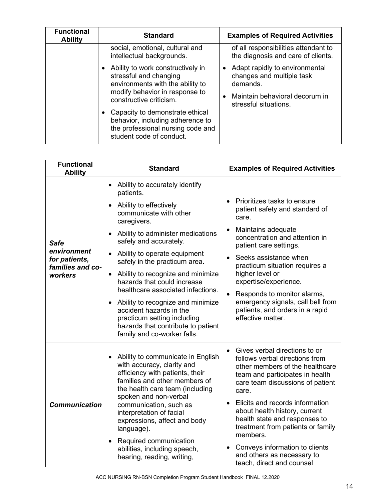| <b>Functional</b><br><b>Ability</b> | <b>Standard</b>                                                                                                                                              | <b>Examples of Required Activities</b>                                                                                             |
|-------------------------------------|--------------------------------------------------------------------------------------------------------------------------------------------------------------|------------------------------------------------------------------------------------------------------------------------------------|
|                                     | social, emotional, cultural and<br>intellectual backgrounds.                                                                                                 | of all responsibilities attendant to<br>the diagnosis and care of clients.                                                         |
|                                     | Ability to work constructively in<br>stressful and changing<br>environments with the ability to<br>modify behavior in response to<br>constructive criticism. | Adapt rapidly to environmental<br>changes and multiple task<br>demands.<br>Maintain behavioral decorum in<br>stressful situations. |
|                                     | Capacity to demonstrate ethical<br>behavior, including adherence to<br>the professional nursing code and<br>student code of conduct.                         |                                                                                                                                    |

| <b>Functional</b><br><b>Ability</b>              | <b>Standard</b>                                                                                                                                                                                 | <b>Examples of Required Activities</b>                                                                                                                                             |  |
|--------------------------------------------------|-------------------------------------------------------------------------------------------------------------------------------------------------------------------------------------------------|------------------------------------------------------------------------------------------------------------------------------------------------------------------------------------|--|
|                                                  | Ability to accurately identify<br>$\bullet$<br>patients.                                                                                                                                        |                                                                                                                                                                                    |  |
|                                                  | Ability to effectively<br>communicate with other<br>caregivers.                                                                                                                                 | Prioritizes tasks to ensure<br>patient safety and standard of<br>care.                                                                                                             |  |
| <b>Safe</b>                                      | Ability to administer medications<br>safely and accurately.                                                                                                                                     | Maintains adequate<br>$\bullet$<br>concentration and attention in<br>patient care settings.                                                                                        |  |
| environment<br>for patients,<br>families and co- | Ability to operate equipment<br>safely in the practicum area.                                                                                                                                   | Seeks assistance when<br>practicum situation requires a                                                                                                                            |  |
| workers                                          | Ability to recognize and minimize<br>$\bullet$<br>hazards that could increase                                                                                                                   | higher level or<br>expertise/experience.                                                                                                                                           |  |
|                                                  | healthcare associated infections.<br>Ability to recognize and minimize                                                                                                                          | Responds to monitor alarms,<br>emergency signals, call bell from                                                                                                                   |  |
|                                                  | accident hazards in the<br>practicum setting including<br>hazards that contribute to patient<br>family and co-worker falls.                                                                     | patients, and orders in a rapid<br>effective matter.                                                                                                                               |  |
|                                                  | Ability to communicate in English<br>with accuracy, clarity and<br>efficiency with patients, their<br>families and other members of<br>the health care team (including<br>spoken and non-verbal | Gives verbal directions to or<br>follows verbal directions from<br>other members of the healthcare<br>team and participates in health<br>care team discussions of patient<br>care. |  |
| <b>Communication</b>                             | communication, such as<br>interpretation of facial<br>expressions, affect and body<br>language).                                                                                                | Elicits and records information<br>$\bullet$<br>about health history, current<br>health state and responses to<br>treatment from patients or family<br>members.                    |  |
|                                                  | Required communication<br>$\bullet$<br>abilities, including speech,<br>hearing, reading, writing,                                                                                               | Conveys information to clients<br>$\bullet$<br>and others as necessary to<br>teach, direct and counsel                                                                             |  |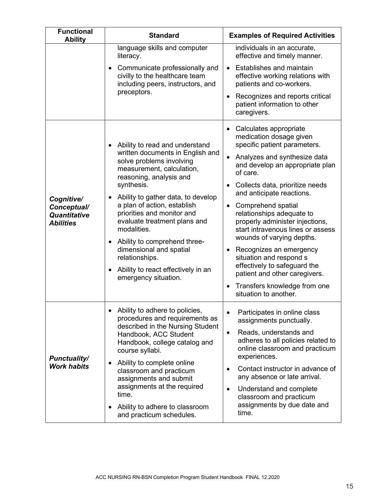<span id="page-14-0"></span>

| <b>Functional</b><br><b>Ability</b>                           | <b>Standard</b>                                                                                                                                                                                                                                                                                                                                                                                                                                                        | <b>Examples of Required Activities</b>                                                                                                                                                                                                                                                                                                                                                                                                                                                                                                                                                |  |
|---------------------------------------------------------------|------------------------------------------------------------------------------------------------------------------------------------------------------------------------------------------------------------------------------------------------------------------------------------------------------------------------------------------------------------------------------------------------------------------------------------------------------------------------|---------------------------------------------------------------------------------------------------------------------------------------------------------------------------------------------------------------------------------------------------------------------------------------------------------------------------------------------------------------------------------------------------------------------------------------------------------------------------------------------------------------------------------------------------------------------------------------|--|
|                                                               | language skills and computer<br>literacy.<br>Communicate professionally and<br>civilly to the healthcare team<br>including peers, instructors, and<br>preceptors.                                                                                                                                                                                                                                                                                                      | individuals in an accurate,<br>effective and timely manner.<br>Establishes and maintain<br>effective working relations with<br>patients and co-workers.<br>Recognizes and reports critical<br>patient information to other<br>caregivers.                                                                                                                                                                                                                                                                                                                                             |  |
| Cognitive/<br>Conceptual/<br>Quantitative<br><b>Abilities</b> | Ability to read and understand<br>written documents in English and<br>solve problems involving<br>measurement, calculation,<br>reasoning, analysis and<br>synthesis.<br>Ability to gather data, to develop<br>a plan of action, establish<br>priorities and monitor and<br>evaluate treatment plans and<br>modalities.<br>Ability to comprehend three-<br>dimensional and spatial<br>relationships.<br>Ability to react effectively in an<br>٠<br>emergency situation. | Calculates appropriate<br>medication dosage given<br>specific patient parameters.<br>Analyzes and synthesize data<br>and develop an appropriate plan<br>of care.<br>Collects data, prioritize needs<br>and anticipate reactions.<br>Comprehend spatial<br>$\bullet$<br>relationships adequate to<br>properly administer injections,<br>start intravenous lines or assess<br>wounds of varying depths.<br>Recognizes an emergency<br>situation and respond s<br>effectively to safeguard the<br>patient and other caregivers.<br>Transfers knowledge from one<br>situation to another. |  |
| <b>Punctuality/</b><br><b>Work habits</b>                     | Ability to adhere to policies,<br>procedures and requirements as<br>described in the Nursing Student<br>Handbook, ACC Student<br>Handbook, college catalog and<br>course syllabi.<br>Ability to complete online<br>٠<br>classroom and practicum<br>assignments and submit<br>assignments at the required<br>time.<br>Ability to adhere to classroom<br>and practicum schedules.                                                                                        | Participates in online class<br>$\bullet$<br>assignments punctually.<br>Reads, understands and<br>$\bullet$<br>adheres to all policies related to<br>online classroom and practicum<br>experiences.<br>Contact instructor in advance of<br>$\bullet$<br>any absence or late arrival.<br>Understand and complete<br>$\bullet$<br>classroom and practicum<br>assignments by due date and<br>time.                                                                                                                                                                                       |  |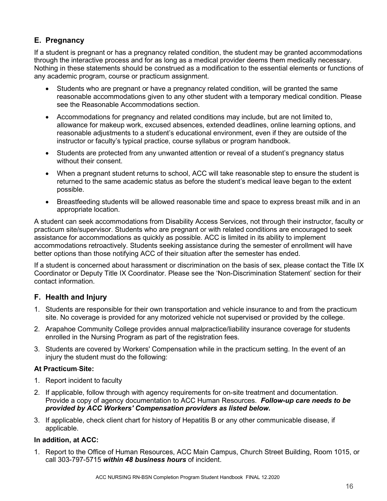# **E. Pregnancy**

If a student is pregnant or has a pregnancy related condition, the student may be granted accommodations through the interactive process and for as long as a medical provider deems them medically necessary. Nothing in these statements should be construed as a modification to the essential elements or functions of any academic program, course or practicum assignment.

- Students who are pregnant or have a pregnancy related condition, will be granted the same reasonable accommodations given to any other student with a temporary medical condition. Please see the Reasonable Accommodations section.
- Accommodations for pregnancy and related conditions may include, but are not limited to, allowance for makeup work, excused absences, extended deadlines, online learning options, and reasonable adjustments to a student's educational environment, even if they are outside of the instructor or faculty's typical practice, course syllabus or program handbook.
- Students are protected from any unwanted attention or reveal of a student's pregnancy status without their consent.
- When a pregnant student returns to school, ACC will take reasonable step to ensure the student is returned to the same academic status as before the student's medical leave began to the extent possible.
- Breastfeeding students will be allowed reasonable time and space to express breast milk and in an appropriate location.

A student can seek accommodations from Disability Access Services, not through their instructor, faculty or practicum site/supervisor. Students who are pregnant or with related conditions are encouraged to seek assistance for accommodations as quickly as possible. ACC is limited in its ability to implement accommodations retroactively. Students seeking assistance during the semester of enrollment will have better options than those notifying ACC of their situation after the semester has ended.

If a student is concerned about harassment or discrimination on the basis of sex, please contact the Title IX Coordinator or Deputy Title IX Coordinator. Please see the 'Non-Discrimination Statement' section for their contact information.

# <span id="page-15-0"></span>**F. Health and Injury**

- 1. Students are responsible for their own transportation and vehicle insurance to and from the practicum site. No coverage is provided for any motorized vehicle not supervised or provided by the college.
- 2. Arapahoe Community College provides annual malpractice/liability insurance coverage for students enrolled in the Nursing Program as part of the registration fees.
- 3. Students are covered by Workers' Compensation while in the practicum setting. In the event of an injury the student must do the following:

# **At Practicum Site:**

- 1. Report incident to faculty
- 2. If applicable, follow through with agency requirements for on-site treatment and documentation. Provide a copy of agency documentation to ACC Human Resources. *Follow-up care needs to be provided by ACC Workers' Compensation providers as listed below***.**
- 3. If applicable, check client chart for history of Hepatitis B or any other communicable disease, if applicable.

# **In addition, at ACC:**

1. Report to the Office of Human Resources, ACC Main Campus, Church Street Building, Room 1015, or call 303-797-5715 *within 48 business hours* of incident.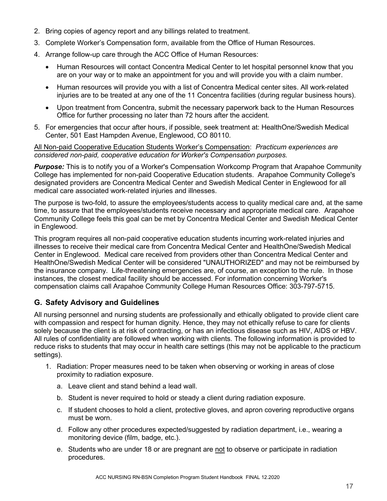- 2. Bring copies of agency report and any billings related to treatment.
- 3. Complete Worker's Compensation form, available from the Office of Human Resources.
- 4. Arrange follow-up care through the ACC Office of Human Resources:
	- Human Resources will contact Concentra Medical Center to let hospital personnel know that you are on your way or to make an appointment for you and will provide you with a claim number.
	- Human resources will provide you with a list of Concentra Medical center sites. All work-related injuries are to be treated at any one of the 11 Concentra facilities (during regular business hours).
	- Upon treatment from Concentra, submit the necessary paperwork back to the Human Resources Office for further processing no later than 72 hours after the accident.
- 5. For emergencies that occur after hours, if possible, seek treatment at: HealthOne/Swedish Medical Center, 501 East Hampden Avenue, Englewood, CO 80110.

All Non-paid Cooperative Education Students Worker's Compensation: *Practicum experiences are considered non-paid, cooperative education for Worker's Compensation purposes.*

**Purpose:** This is to notify you of a Worker's Compensation Workcomp Program that Arapahoe Community College has implemented for non-paid Cooperative Education students. Arapahoe Community College's designated providers are Concentra Medical Center and Swedish Medical Center in Englewood for all medical care associated work-related injuries and illnesses.

The purpose is two-fold, to assure the employees/students access to quality medical care and, at the same time, to assure that the employees/students receive necessary and appropriate medical care. Arapahoe Community College feels this goal can be met by Concentra Medical Center and Swedish Medical Center in Englewood.

This program requires all non-paid cooperative education students incurring work-related injuries and illnesses to receive their medical care from Concentra Medical Center and HealthOne/Swedish Medical Center in Englewood. Medical care received from providers other than Concentra Medical Center and HealthOne/Swedish Medical Center will be considered "UNAUTHORIZED" and may not be reimbursed by the insurance company. Life-threatening emergencies are, of course, an exception to the rule. In those instances, the closest medical facility should be accessed. For information concerning Worker's compensation claims call Arapahoe Community College Human Resources Office: 303-797-5715.

# <span id="page-16-0"></span>**G. Safety Advisory and Guidelines**

All nursing personnel and nursing students are professionally and ethically obligated to provide client care with compassion and respect for human dignity. Hence, they may not ethically refuse to care for clients solely because the client is at risk of contracting, or has an infectious disease such as HIV, AIDS or HBV. All rules of confidentiality are followed when working with clients. The following information is provided to reduce risks to students that may occur in health care settings (this may not be applicable to the practicum settings).

- 1. Radiation: Proper measures need to be taken when observing or working in areas of close proximity to radiation exposure.
	- a. Leave client and stand behind a lead wall.
	- b. Student is never required to hold or steady a client during radiation exposure.
	- c. If student chooses to hold a client, protective gloves, and apron covering reproductive organs must be worn.
	- d. Follow any other procedures expected/suggested by radiation department, i.e., wearing a monitoring device (film, badge, etc.).
	- e. Students who are under 18 or are pregnant are not to observe or participate in radiation procedures.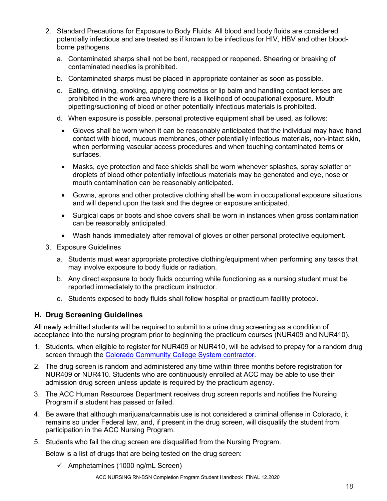- 2. Standard Precautions for Exposure to Body Fluids: All blood and body fluids are considered potentially infectious and are treated as if known to be infectious for HIV, HBV and other bloodborne pathogens.
	- a. Contaminated sharps shall not be bent, recapped or reopened. Shearing or breaking of contaminated needles is prohibited.
	- b. Contaminated sharps must be placed in appropriate container as soon as possible.
	- c. Eating, drinking, smoking, applying cosmetics or lip balm and handling contact lenses are prohibited in the work area where there is a likelihood of occupational exposure. Mouth pipetting/suctioning of blood or other potentially infectious materials is prohibited.
	- d. When exposure is possible, personal protective equipment shall be used, as follows:
	- Gloves shall be worn when it can be reasonably anticipated that the individual may have hand contact with blood, mucous membranes, other potentially infectious materials, non-intact skin, when performing vascular access procedures and when touching contaminated items or surfaces.
	- Masks, eye protection and face shields shall be worn whenever splashes, spray splatter or droplets of blood other potentially infectious materials may be generated and eye, nose or mouth contamination can be reasonably anticipated.
	- Gowns, aprons and other protective clothing shall be worn in occupational exposure situations and will depend upon the task and the degree or exposure anticipated.
	- Surgical caps or boots and shoe covers shall be worn in instances when gross contamination can be reasonably anticipated.
	- Wash hands immediately after removal of gloves or other personal protective equipment.
- 3. Exposure Guidelines
	- a. Students must wear appropriate protective clothing/equipment when performing any tasks that may involve exposure to body fluids or radiation.
	- b. Any direct exposure to body fluids occurring while functioning as a nursing student must be reported immediately to the practicum instructor.
	- c. Students exposed to body fluids shall follow hospital or practicum facility protocol.

# <span id="page-17-0"></span>**H. Drug Screening Guidelines**

All newly admitted students will be required to submit to a urine drug screening as a condition of acceptance into the nursing program prior to beginning the practicum courses (NUR409 and NUR410).

- 1. Students, when eligible to register for NUR409 or NUR410, will be advised to prepay for a random drug screen through the [Colorado Community College System contractor.](https://cccs.castlebranch.com/)
- 2. The drug screen is random and administered any time within three months before registration for NUR409 or NUR410. Students who are continuously enrolled at ACC may be able to use their admission drug screen unless update is required by the practicum agency.
- 3. The ACC Human Resources Department receives drug screen reports and notifies the Nursing Program if a student has passed or failed.
- 4. Be aware that although marijuana/cannabis use is not considered a criminal offense in Colorado, it remains so under Federal law, and, if present in the drug screen, will disqualify the student from participation in the ACC Nursing Program.
- 5. Students who fail the drug screen are disqualified from the Nursing Program.

Below is a list of drugs that are being tested on the drug screen:

 $\checkmark$  Amphetamines (1000 ng/mL Screen)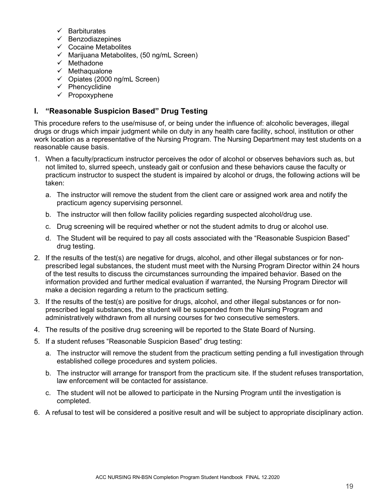- $\checkmark$  Barbiturates
- $\checkmark$  Benzodiazepines
- $\checkmark$  Cocaine Metabolites
- $\checkmark$  Marijuana Metabolites, (50 ng/mL Screen)
- $\checkmark$  Methadone
- $\checkmark$  Methaqualone
- $\checkmark$  Opiates (2000 ng/mL Screen)
- $\checkmark$  Phencyclidine
- $\checkmark$  Propoxyphene

# <span id="page-18-0"></span>**I. "Reasonable Suspicion Based" Drug Testing**

This procedure refers to the use/misuse of, or being under the influence of: alcoholic beverages, illegal drugs or drugs which impair judgment while on duty in any health care facility, school, institution or other work location as a representative of the Nursing Program. The Nursing Department may test students on a reasonable cause basis.

- 1. When a faculty/practicum instructor perceives the odor of alcohol or observes behaviors such as, but not limited to, slurred speech, unsteady gait or confusion and these behaviors cause the faculty or practicum instructor to suspect the student is impaired by alcohol or drugs, the following actions will be taken:
	- a. The instructor will remove the student from the client care or assigned work area and notify the practicum agency supervising personnel.
	- b. The instructor will then follow facility policies regarding suspected alcohol/drug use.
	- c. Drug screening will be required whether or not the student admits to drug or alcohol use.
	- d. The Student will be required to pay all costs associated with the "Reasonable Suspicion Based" drug testing.
- 2. If the results of the test(s) are negative for drugs, alcohol, and other illegal substances or for nonprescribed legal substances, the student must meet with the Nursing Program Director within 24 hours of the test results to discuss the circumstances surrounding the impaired behavior. Based on the information provided and further medical evaluation if warranted, the Nursing Program Director will make a decision regarding a return to the practicum setting.
- 3. If the results of the test(s) are positive for drugs, alcohol, and other illegal substances or for nonprescribed legal substances, the student will be suspended from the Nursing Program and administratively withdrawn from all nursing courses for two consecutive semesters.
- 4. The results of the positive drug screening will be reported to the State Board of Nursing.
- 5. If a student refuses "Reasonable Suspicion Based" drug testing:
	- a. The instructor will remove the student from the practicum setting pending a full investigation through established college procedures and system policies.
	- b. The instructor will arrange for transport from the practicum site. If the student refuses transportation, law enforcement will be contacted for assistance.
	- c. The student will not be allowed to participate in the Nursing Program until the investigation is completed.
- 6. A refusal to test will be considered a positive result and will be subject to appropriate disciplinary action.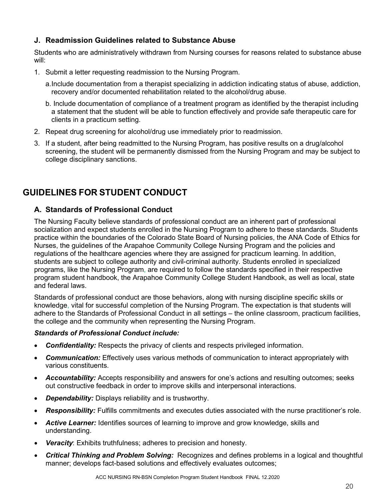# <span id="page-19-0"></span>**J. Readmission Guidelines related to Substance Abuse**

Students who are administratively withdrawn from Nursing courses for reasons related to substance abuse will:

- 1. Submit a letter requesting readmission to the Nursing Program.
	- a.Include documentation from a therapist specializing in addiction indicating status of abuse, addiction, recovery and/or documented rehabilitation related to the alcohol/drug abuse.
	- b. Include documentation of compliance of a treatment program as identified by the therapist including a statement that the student will be able to function effectively and provide safe therapeutic care for clients in a practicum setting.
- 2. Repeat drug screening for alcohol/drug use immediately prior to readmission.
- 3. If a student, after being readmitted to the Nursing Program, has positive results on a drug/alcohol screening, the student will be permanently dismissed from the Nursing Program and may be subject to college disciplinary sanctions.

# <span id="page-19-1"></span>**GUIDELINES FOR STUDENT CONDUCT**

# <span id="page-19-2"></span>**A. Standards of Professional Conduct**

The Nursing Faculty believe standards of professional conduct are an inherent part of professional socialization and expect students enrolled in the Nursing Program to adhere to these standards. Students practice within the boundaries of the Colorado State Board of Nursing policies, the ANA Code of Ethics for Nurses, the guidelines of the Arapahoe Community College Nursing Program and the policies and regulations of the healthcare agencies where they are assigned for practicum learning. In addition, students are subject to college authority and civil-criminal authority. Students enrolled in specialized programs, like the Nursing Program, are required to follow the standards specified in their respective program student handbook, the Arapahoe Community College Student Handbook, as well as local, state and federal laws.

Standards of professional conduct are those behaviors, along with nursing discipline specific skills or knowledge, vital for successful completion of the Nursing Program. The expectation is that students will adhere to the Standards of Professional Conduct in all settings – the online classroom, practicum facilities, the college and the community when representing the Nursing Program.

### *Standards of Professional Conduct include:*

- *Confidentiality:* Respects the privacy of clients and respects privileged information.
- *Communication:* Effectively uses various methods of communication to interact appropriately with various constituents.
- *Accountability:* Accepts responsibility and answers for one's actions and resulting outcomes; seeks out constructive feedback in order to improve skills and interpersonal interactions.
- *Dependability:* Displays reliability and is trustworthy.
- *Responsibility:* Fulfills commitments and executes duties associated with the nurse practitioner's role.
- *Active Learner:* Identifies sources of learning to improve and grow knowledge, skills and understanding.
- **Veracity:** Exhibits truthfulness; adheres to precision and honesty.
- *Critical Thinking and Problem Solving:* Recognizes and defines problems in a logical and thoughtful manner; develops fact-based solutions and effectively evaluates outcomes;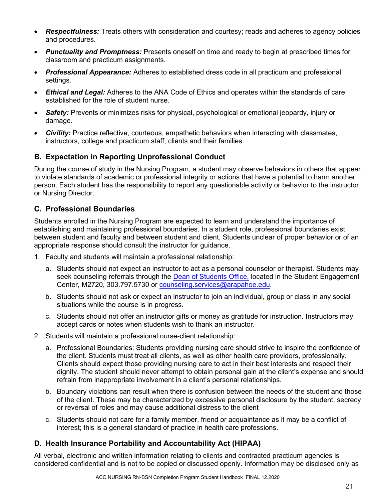- *Respectfulness:* Treats others with consideration and courtesy; reads and adheres to agency policies and procedures.
- *Punctuality and Promptness:* Presents oneself on time and ready to begin at prescribed times for classroom and practicum assignments.
- *Professional Appearance:* Adheres to established dress code in all practicum and professional settings.
- *Ethical and Legal:* Adheres to the ANA Code of Ethics and operates within the standards of care established for the role of student nurse.
- *Safety:* Prevents or minimizes risks for physical, psychological or emotional jeopardy, injury or damage.
- *Civility:* Practice reflective, courteous, empathetic behaviors when interacting with classmates, instructors, college and practicum staff, clients and their families.

# <span id="page-20-0"></span>**B. Expectation in Reporting Unprofessional Conduct**

During the course of study in the Nursing Program, a student may observe behaviors in others that appear to violate standards of academic or professional integrity or actions that have a potential to harm another person. Each student has the responsibility to report any questionable activity or behavior to the instructor or Nursing Director.

# <span id="page-20-1"></span>**C. Professional Boundaries**

Students enrolled in the Nursing Program are expected to learn and understand the importance of establishing and maintaining professional boundaries. In a student role, professional boundaries exist between student and faculty and between student and client. Students unclear of proper behavior or of an appropriate response should consult the instructor for guidance.

- 1. Faculty and students will maintain a professional relationship:
	- a. Students should not expect an instructor to act as a personal counselor or therapist. Students may seek counseling referrals through the [Dean of Students Office,](https://www.arapahoe.edu/advising-support/student-support/dean-students) located in the Student Engagement Center, M2720, 303.797.5730 or [counseling.services@arapahoe.edu.](mailto:counseling.services@arapahoe.edu)
	- b. Students should not ask or expect an instructor to join an individual, group or class in any social situations while the course is in progress.
	- c. Students should not offer an instructor gifts or money as gratitude for instruction. Instructors may accept cards or notes when students wish to thank an instructor.
- 2. Students will maintain a professional nurse-client relationship:
	- a. Professional Boundaries: Students providing nursing care should strive to inspire the confidence of the client. Students must treat all clients, as well as other health care providers, professionally. Clients should expect those providing nursing care to act in their best interests and respect their dignity. The student should never attempt to obtain personal gain at the client's expense and should refrain from inappropriate involvement in a client's personal relationships.
	- b. Boundary violations can result when there is confusion between the needs of the student and those of the client. These may be characterized by excessive personal disclosure by the student, secrecy or reversal of roles and may cause additional distress to the client
	- c. Students should not care for a family member, friend or acquaintance as it may be a conflict of interest; this is a general standard of practice in health care professions.

# <span id="page-20-2"></span>**D. Health Insurance Portability and Accountability Act (HIPAA)**

All verbal, electronic and written information relating to clients and contracted practicum agencies is considered confidential and is not to be copied or discussed openly. Information may be disclosed only as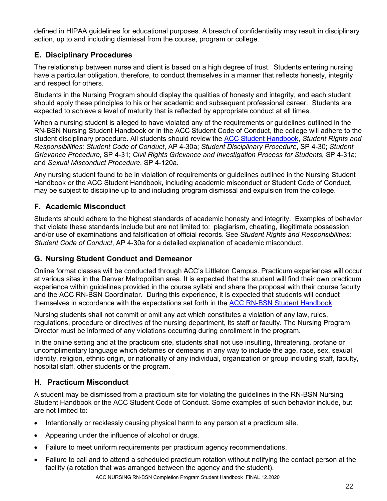defined in HIPAA guidelines for educational purposes. A breach of confidentiality may result in disciplinary action, up to and including dismissal from the course, program or college.

# <span id="page-21-0"></span>**E. Disciplinary Procedures**

The relationship between nurse and client is based on a high degree of trust. Students entering nursing have a particular obligation, therefore, to conduct themselves in a manner that reflects honesty, integrity and respect for others.

Students in the Nursing Program should display the qualities of honesty and integrity, and each student should apply these principles to his or her academic and subsequent professional career. Students are expected to achieve a level of maturity that is reflected by appropriate conduct at all times.

When a nursing student is alleged to have violated any of the requirements or guidelines outlined in the RN-BSN Nursing Student Handbook or in the ACC Student Code of Conduct, the college will adhere to the student disciplinary procedure. All students should review the [ACC Student Handbook,](https://www.arapahoe.edu/campus-life/student-handbook) *Student Rights and Responsibilities: Student Code of Conduct*, AP 4-30a; *Student Disciplinary Procedure*, SP 4-30; *Student Grievance Procedure,* SP 4-31; *Civil Rights Grievance and Investigation Process for Students*, SP 4-31a; and *Sexual Misconduct Procedure*, SP 4-120a.

Any nursing student found to be in violation of requirements or guidelines outlined in the Nursing Student Handbook or the ACC Student Handbook, including academic misconduct or Student Code of Conduct, may be subject to discipline up to and including program dismissal and expulsion from the college.

# <span id="page-21-1"></span>**F. Academic Misconduct**

Students should adhere to the highest standards of academic honesty and integrity. Examples of behavior that violate these standards include but are not limited to: plagiarism, cheating, illegitimate possession and/or use of examinations and falsification of official records. See *Student Rights and Responsibilities: Student Code of Conduct*, AP 4-30a for a detailed explanation of academic misconduct.

# <span id="page-21-2"></span>**G. Nursing Student Conduct and Demeanor**

Online format classes will be conducted through ACC's Littleton Campus. Practicum experiences will occur at various sites in the Denver Metropolitan area. It is expected that the student will find their own practicum experience within guidelines provided in the course syllabi and share the proposal with their course faculty and the ACC RN-BSN Coordinator. During this experience, it is expected that students will conduct themselves in accordance with the expectations set forth in the [ACC RN-BSN Student Handbook.](https://www.arapahoe.edu/sites/default/files/programs/nursing/bsn-nursing-program-handbook.pdf)

Nursing students shall not commit or omit any act which constitutes a violation of any law, rules, regulations, procedure or directives of the nursing department, its staff or faculty. The Nursing Program Director must be informed of any violations occurring during enrollment in the program.

In the online setting and at the practicum site, students shall not use insulting, threatening, profane or uncomplimentary language which defames or demeans in any way to include the age, race, sex, sexual identity, religion, ethnic origin, or nationality of any individual, organization or group including staff, faculty, hospital staff, other students or the program.

# <span id="page-21-3"></span>**H. Practicum Misconduct**

A student may be dismissed from a practicum site for violating the guidelines in the RN-BSN Nursing Student Handbook or the ACC Student Code of Conduct. Some examples of such behavior include, but are not limited to:

- Intentionally or recklessly causing physical harm to any person at a practicum site.
- Appearing under the influence of alcohol or drugs.
- Failure to meet uniform requirements per practicum agency recommendations.
- Failure to call and to attend a scheduled practicum rotation without notifying the contact person at the facility (a rotation that was arranged between the agency and the student).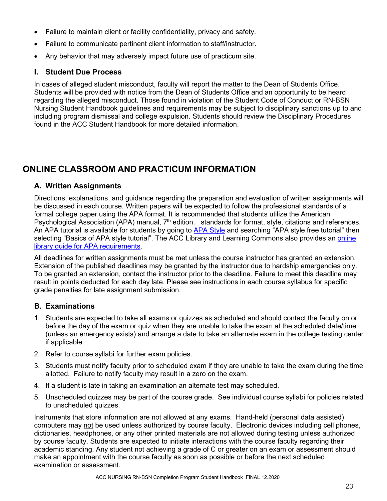- Failure to maintain client or facility confidentiality, privacy and safety.
- Failure to communicate pertinent client information to staff/instructor.
- Any behavior that may adversely impact future use of practicum site.

# <span id="page-22-0"></span>**I. Student Due Process**

In cases of alleged student misconduct, faculty will report the matter to the Dean of Students Office. Students will be provided with notice from the Dean of Students Office and an opportunity to be heard regarding the alleged misconduct. Those found in violation of the Student Code of Conduct or RN-BSN Nursing Student Handbook guidelines and requirements may be subject to disciplinary sanctions up to and including program dismissal and college expulsion. Students should review the Disciplinary Procedures found in the ACC Student Handbook for more detailed information.

# <span id="page-22-1"></span>**ONLINE CLASSROOM AND PRACTICUM INFORMATION**

# <span id="page-22-2"></span>**A. Written Assignments**

Directions, explanations, and guidance regarding the preparation and evaluation of written assignments will be discussed in each course. Written papers will be expected to follow the professional standards of a formal college paper using the APA format. It is recommended that students utilize the American Psychological Association (APA) manual, 7<sup>th</sup> edition. standards for format, style, citations and references. An APA tutorial is available for students by going to [APA Style](http://apastyle.org/) and searching "APA style free tutorial" then selecting "Basics of APA style tutorial". The ACC Library and Learning Commons also provides an online [library guide for APA requirements.](https://arapahoe.libguides.com/citations/apa)

All deadlines for written assignments must be met unless the course instructor has granted an extension. Extension of the published deadlines may be granted by the instructor due to hardship emergencies only. To be granted an extension, contact the instructor prior to the deadline. Failure to meet this deadline may result in points deducted for each day late. Please see instructions in each course syllabus for specific grade penalties for late assignment submission.

# <span id="page-22-3"></span>**B. Examinations**

- 1. Students are expected to take all exams or quizzes as scheduled and should contact the faculty on or before the day of the exam or quiz when they are unable to take the exam at the scheduled date/time (unless an emergency exists) and arrange a date to take an alternate exam in the college testing center if applicable.
- 2. Refer to course syllabi for further exam policies.
- 3. Students must notify faculty prior to scheduled exam if they are unable to take the exam during the time allotted. Failure to notify faculty may result in a zero on the exam.
- 4. If a student is late in taking an examination an alternate test may scheduled.
- 5. Unscheduled quizzes may be part of the course grade. See individual course syllabi for policies related to unscheduled quizzes.

Instruments that store information are not allowed at any exams. Hand-held (personal data assisted) computers may not be used unless authorized by course faculty. Electronic devices including cell phones, dictionaries, headphones, or any other printed materials are not allowed during testing unless authorized by course faculty. Students are expected to initiate interactions with the course faculty regarding their academic standing. Any student not achieving a grade of C or greater on an exam or assessment should make an appointment with the course faculty as soon as possible or before the next scheduled examination or assessment.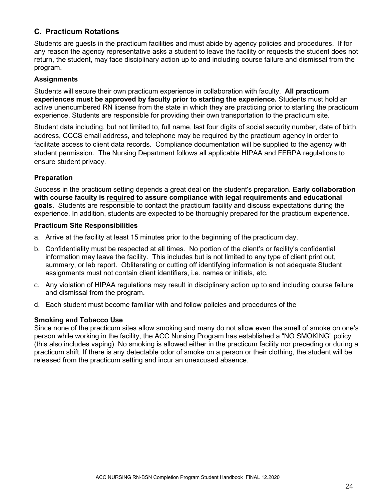# <span id="page-23-0"></span>**C. Practicum Rotations**

Students are guests in the practicum facilities and must abide by agency policies and procedures. If for any reason the agency representative asks a student to leave the facility or requests the student does not return, the student, may face disciplinary action up to and including course failure and dismissal from the program.

### **Assignments**

Students will secure their own practicum experience in collaboration with faculty. **All practicum experiences must be approved by faculty prior to starting the experience.** Students must hold an active unencumbered RN license from the state in which they are practicing prior to starting the practicum experience. Students are responsible for providing their own transportation to the practicum site.

Student data including, but not limited to, full name, last four digits of social security number, date of birth, address, CCCS email address, and telephone may be required by the practicum agency in order to facilitate access to client data records. Compliance documentation will be supplied to the agency with student permission. The Nursing Department follows all applicable HIPAA and FERPA regulations to ensure student privacy.

### **Preparation**

Success in the practicum setting depends a great deal on the student's preparation. **Early collaboration with course faculty is required to assure compliance with legal requirements and educational goals**. Students are responsible to contact the practicum facility and discuss expectations during the experience. In addition, students are expected to be thoroughly prepared for the practicum experience.

#### **Practicum Site Responsibilities**

- a. Arrive at the facility at least 15 minutes prior to the beginning of the practicum day.
- b. Confidentiality must be respected at all times. No portion of the client's or facility's confidential information may leave the facility. This includes but is not limited to any type of client print out, summary, or lab report. Obliterating or cutting off identifying information is not adequate Student assignments must not contain client identifiers, i.e. names or initials, etc.
- c. Any violation of HIPAA regulations may result in disciplinary action up to and including course failure and dismissal from the program.
- d. Each student must become familiar with and follow policies and procedures of the

### **Smoking and Tobacco Use**

Since none of the practicum sites allow smoking and many do not allow even the smell of smoke on one's person while working in the facility, the ACC Nursing Program has established a "NO SMOKING" policy (this also includes vaping). No smoking is allowed either in the practicum facility nor preceding or during a practicum shift. If there is any detectable odor of smoke on a person or their clothing, the student will be released from the practicum setting and incur an unexcused absence.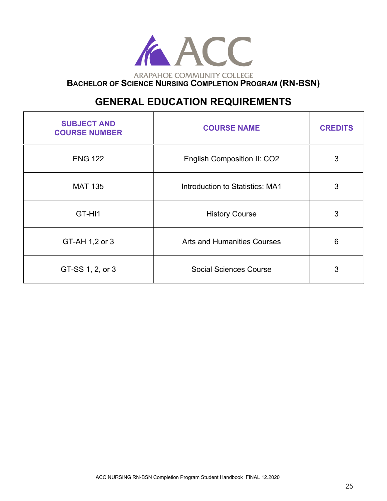

# **GENERAL EDUCATION REQUIREMENTS**

<span id="page-24-0"></span>

| <b>SUBJECT AND</b><br><b>COURSE NUMBER</b> | <b>COURSE NAME</b>                     | <b>CREDITS</b> |
|--------------------------------------------|----------------------------------------|----------------|
| <b>ENG 122</b>                             | English Composition II: CO2            | 3              |
| <b>MAT 135</b>                             | <b>Introduction to Statistics: MA1</b> | 3              |
| GT-HI1                                     | <b>History Course</b>                  | 3              |
| GT-AH 1,2 or 3                             | <b>Arts and Humanities Courses</b>     | 6              |
| GT-SS 1, 2, or 3                           | <b>Social Sciences Course</b>          | 3              |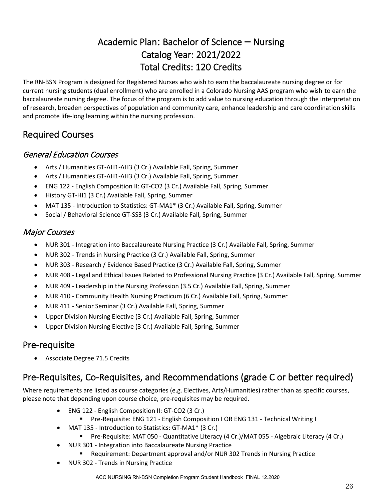# Academic Plan: Bachelor of Science – Nursing Catalog Year: 2021/2022 Total Credits: 120 Credits

<span id="page-25-0"></span>The RN‐BSN Program is designed for Registered Nurses who wish to earn the baccalaureate nursing degree or for current nursing students (dual enrollment) who are enrolled in a Colorado Nursing AAS program who wish to earn the baccalaureate nursing degree. The focus of the program is to add value to nursing education through the interpretation of research, broaden perspectives of population and community care, enhance leadership and care coordination skills and promote life‐long learning within the nursing profession.

# <span id="page-25-1"></span>Required Courses

# <span id="page-25-2"></span>General Education Courses

- Arts / Humanities GT-AH1-AH3 (3 Cr.) Available Fall, Spring, Summer
- Arts / Humanities GT-AH1-AH3 (3 Cr.) Available Fall, Spring, Summer
- ENG 122 English Composition II: GT-CO2 (3 Cr.) Available Fall, Spring, Summer
- History GT-HI1 (3 Cr.) Available Fall, Spring, Summer
- MAT 135 Introduction to Statistics: GT-MA1\* (3 Cr.) Available Fall, Spring, Summer
- Social / Behavioral Science GT-SS3 (3 Cr.) Available Fall, Spring, Summer

# <span id="page-25-3"></span>Major Courses

- NUR 301 Integration into Baccalaureate Nursing Practice (3 Cr.) Available Fall, Spring, Summer
- NUR 302 Trends in Nursing Practice (3 Cr.) Available Fall, Spring, Summer
- NUR 303 Research / Evidence Based Practice (3 Cr.) Available Fall, Spring, Summer
- NUR 408 Legal and Ethical Issues Related to Professional Nursing Practice (3 Cr.) Available Fall, Spring, Summer
- NUR 409 Leadership in the Nursing Profession (3.5 Cr.) Available Fall, Spring, Summer
- NUR 410 Community Health Nursing Practicum (6 Cr.) Available Fall, Spring, Summer
- NUR 411 Senior Seminar (3 Cr.) Available Fall, Spring, Summer
- Upper Division Nursing Elective (3 Cr.) Available Fall, Spring, Summer
- Upper Division Nursing Elective (3 Cr.) Available Fall, Spring, Summer

# <span id="page-25-4"></span>Pre-requisite

• Associate Degree 71.5 Credits

# <span id="page-25-5"></span>Pre-Requisites, Co-Requisites, and Recommendations (grade C or better required)

Where requirements are listed as course categories (e.g. Electives, Arts/Humanities) rather than as specific courses, please note that depending upon course choice, pre-requisites may be required.

- ENG 122 English Composition II: GT-CO2 (3 Cr.)
	- Pre-Requisite: ENG 121 English Composition I OR ENG 131 Technical Writing I
- MAT 135 Introduction to Statistics: GT-MA1\* (3 Cr.)
	- Pre-Requisite: MAT 050 Quantitative Literacy (4 Cr.)/MAT 055 Algebraic Literacy (4 Cr.)
- NUR 301 Integration into Baccalaureate Nursing Practice
	- Requirement: Department approval and/or NUR 302 Trends in Nursing Practice
- NUR 302 Trends in Nursing Practice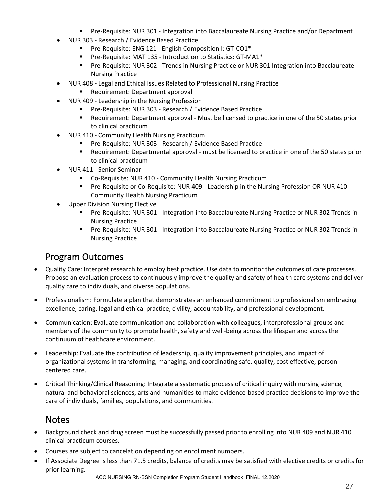- Pre-Requisite: NUR 301 Integration into Baccalaureate Nursing Practice and/or Department
- NUR 303 Research / Evidence Based Practice
	- **Pre-Requisite: ENG 121 English Composition I: GT-CO1\***
	- Pre-Requisite: MAT 135 Introduction to Statistics: GT-MA1\*
	- Pre-Requisite: NUR 302 Trends in Nursing Practice or NUR 301 Integration into Bacclaureate Nursing Practice
- NUR 408 Legal and Ethical Issues Related to Professional Nursing Practice
	- **Requirement: Department approval**
	- NUR 409 Leadership in the Nursing Profession
		- Pre-Requisite: NUR 303 Research / Evidence Based Practice
		- **Requirement: Department approval Must be licensed to practice in one of the 50 states prior** to clinical practicum
- NUR 410 Community Health Nursing Practicum
	- Pre-Requisite: NUR 303 Research / Evidence Based Practice
	- Requirement: Departmental approval must be licensed to practice in one of the 50 states prior to clinical practicum
- NUR 411 Senior Seminar
	- Co-Requisite: NUR 410 Community Health Nursing Practicum
	- Pre-Requisite or Co-Requisite: NUR 409 Leadership in the Nursing Profession OR NUR 410 -Community Health Nursing Practicum
- Upper Division Nursing Elective
	- Pre-Requisite: NUR 301 Integration into Baccalaureate Nursing Practice or NUR 302 Trends in Nursing Practice
	- Pre-Requisite: NUR 301 Integration into Baccalaureate Nursing Practice or NUR 302 Trends in Nursing Practice

# <span id="page-26-0"></span>Program Outcomes

- Quality Care: Interpret research to employ best practice. Use data to monitor the outcomes of care processes. Propose an evaluation process to continuously improve the quality and safety of health care systems and deliver quality care to individuals, and diverse populations.
- Professionalism: Formulate a plan that demonstrates an enhanced commitment to professionalism embracing excellence, caring, legal and ethical practice, civility, accountability, and professional development.
- Communication: Evaluate communication and collaboration with colleagues, interprofessional groups and members of the community to promote health, safety and well-being across the lifespan and across the continuum of healthcare environment.
- Leadership: Evaluate the contribution of leadership, quality improvement principles, and impact of organizational systems in transforming, managing, and coordinating safe, quality, cost effective, personcentered care.
- Critical Thinking/Clinical Reasoning: Integrate a systematic process of critical inquiry with nursing science, natural and behavioral sciences, arts and humanities to make evidence-based practice decisions to improve the care of individuals, families, populations, and communities.

# **Notes**

- Background check and drug screen must be successfully passed prior to enrolling into NUR 409 and NUR 410 clinical practicum courses.
- Courses are subject to cancelation depending on enrollment numbers.
- If Associate Degree is less than 71.5 credits, balance of credits may be satisfied with elective credits or credits for prior learning.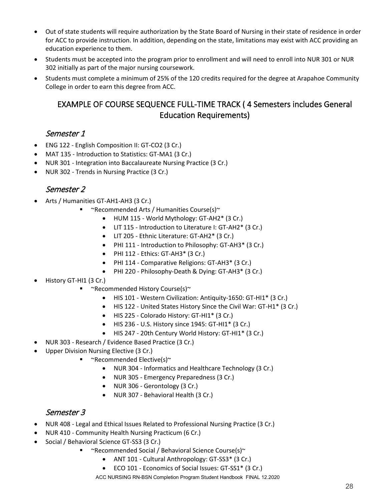- Out of state students will require authorization by the State Board of Nursing in their state of residence in order for ACC to provide instruction. In addition, depending on the state, limitations may exist with ACC providing an education experience to them.
- Students must be accepted into the program prior to enrollment and will need to enroll into NUR 301 or NUR 302 initially as part of the major nursing coursework.
- <span id="page-27-0"></span>• Students must complete a minimum of 25% of the 120 credits required for the degree at Arapahoe Community College in order to earn this degree from ACC.

# EXAMPLE OF COURSE SEQUENCE FULL-TIME TRACK ( 4 Semesters includes General Education Requirements)

# Semester 1

- ENG 122 English Composition II: GT-CO2 (3 Cr.)
- MAT 135 Introduction to Statistics: GT-MA1 (3 Cr.)
- NUR 301 Integration into Baccalaureate Nursing Practice (3 Cr.)
- NUR 302 Trends in Nursing Practice (3 Cr.)

# Semester 2

- Arts / Humanities GT-AH1-AH3 (3 Cr.)
	- ~Recommended Arts / Humanities Course(s)~
		- HUM 115 World Mythology: GT-AH2\* (3 Cr.)
		- LIT 115 Introduction to Literature I: GT-AH2\* (3 Cr.)
		- LIT 205 Ethnic Literature: GT-AH2\* (3 Cr.)
		- PHI 111 Introduction to Philosophy: GT-AH3\* (3 Cr.)
		- PHI 112 Ethics: GT-AH3\* (3 Cr.)
		- PHI 114 Comparative Religions: GT-AH3\* (3 Cr.)
		- PHI 220 Philosophy-Death & Dying: GT-AH3\* (3 Cr.)
- History GT-HI1 (3 Cr.)
	- ~Recommended History Course(s)~
		- HIS 101 Western Civilization: Antiquity-1650: GT-HI1\* (3 Cr.)
		- HIS 122 United States History Since the Civil War: GT-H1\* (3 Cr.)
		- HIS 225 Colorado History: GT-HI1\* (3 Cr.)
		- HIS 236 U.S. History since 1945: GT-HI1\* (3 Cr.)
		- HIS 247 20th Century World History: GT-HI1\* (3 Cr.)
- NUR 303 Research / Evidence Based Practice (3 Cr.)
- Upper Division Nursing Elective (3 Cr.)
	- ~Recommended Elective(s)~
		- NUR 304 Informatics and Healthcare Technology (3 Cr.)
		- NUR 305 Emergency Preparedness (3 Cr.)
		- NUR 306 Gerontology (3 Cr.)
		- NUR 307 Behavioral Health (3 Cr.)

# Semester 3

- NUR 408 Legal and Ethical Issues Related to Professional Nursing Practice (3 Cr.)
- NUR 410 Community Health Nursing Practicum (6 Cr.)
- Social / Behavioral Science GT-SS3 (3 Cr.)
	- ~Recommended Social / Behavioral Science Course(s)~
		- ANT 101 Cultural Anthropology: GT-SS3\* (3 Cr.)
		- ECO 101 Economics of Social Issues: GT-SS1\* (3 Cr.)

ACC NURSING RN-BSN Completion Program Student Handbook FINAL 12.2020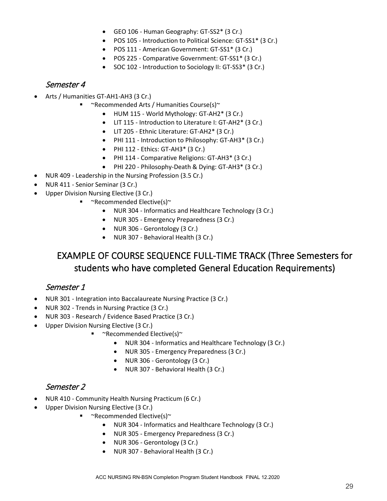- GEO 106 Human Geography: GT-SS2\* (3 Cr.)
- POS 105 Introduction to Political Science: GT-SS1\* (3 Cr.)
- POS 111 American Government: GT-SS1\* (3 Cr.)
- POS 225 Comparative Government: GT-SS1\* (3 Cr.)
- SOC 102 Introduction to Sociology II: GT-SS3\* (3 Cr.)

# Semester 4

- Arts / Humanities GT-AH1-AH3 (3 Cr.)
	- **•**  $\sim$ Recommended Arts / Humanities Course(s) $\sim$ 
		- HUM 115 World Mythology: GT-AH2\* (3 Cr.)
		- LIT 115 Introduction to Literature I: GT-AH2\* (3 Cr.)
		- LIT 205 Ethnic Literature: GT-AH2\* (3 Cr.)
		- PHI 111 Introduction to Philosophy: GT-AH3\* (3 Cr.)
		- PHI 112 Ethics: GT-AH3\* (3 Cr.)
		- PHI 114 Comparative Religions: GT-AH3\* (3 Cr.)
		- PHI 220 Philosophy-Death & Dying: GT-AH3\* (3 Cr.)
- NUR 409 Leadership in the Nursing Profession (3.5 Cr.)
- NUR 411 Senior Seminar (3 Cr.)
- Upper Division Nursing Elective (3 Cr.)
	- **•**  $\sim$ Recommended Elective(s) $\sim$ 
		- NUR 304 Informatics and Healthcare Technology (3 Cr.)
		- NUR 305 Emergency Preparedness (3 Cr.)
		- NUR 306 Gerontology (3 Cr.)
		- NUR 307 Behavioral Health (3 Cr.)

# <span id="page-28-0"></span>EXAMPLE OF COURSE SEQUENCE FULL-TIME TRACK (Three Semesters for students who have completed General Education Requirements)

# Semester 1

- NUR 301 Integration into Baccalaureate Nursing Practice (3 Cr.)
- NUR 302 Trends in Nursing Practice (3 Cr.)
- NUR 303 Research / Evidence Based Practice (3 Cr.)
- Upper Division Nursing Elective (3 Cr.)
	- **•**  $~\sim$ Recommended Elective(s) $\sim$ 
		- NUR 304 Informatics and Healthcare Technology (3 Cr.)
		- NUR 305 Emergency Preparedness (3 Cr.)
		- NUR 306 Gerontology (3 Cr.)
		- NUR 307 Behavioral Health (3 Cr.)

# Semester 2

- NUR 410 Community Health Nursing Practicum (6 Cr.)
- Upper Division Nursing Elective (3 Cr.)
	- ~Recommended Elective(s)~
		- NUR 304 Informatics and Healthcare Technology (3 Cr.)
		- NUR 305 Emergency Preparedness (3 Cr.)
		- NUR 306 Gerontology (3 Cr.)
		- NUR 307 Behavioral Health (3 Cr.)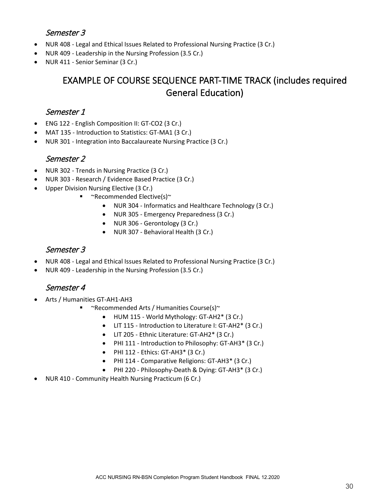# Semester 3

- NUR 408 Legal and Ethical Issues Related to Professional Nursing Practice (3 Cr.)
- NUR 409 Leadership in the Nursing Profession (3.5 Cr.)
- <span id="page-29-0"></span>• NUR 411 - Senior Seminar (3 Cr.)

# EXAMPLE OF COURSE SEQUENCE PART-TIME TRACK (includes required General Education)

# Semester 1

- ENG 122 English Composition II: GT-CO2 (3 Cr.)
- MAT 135 Introduction to Statistics: GT-MA1 (3 Cr.)
- NUR 301 Integration into Baccalaureate Nursing Practice (3 Cr.)

# Semester 2

- NUR 302 Trends in Nursing Practice (3 Cr.)
- NUR 303 Research / Evidence Based Practice (3 Cr.)
- Upper Division Nursing Elective (3 Cr.)
	- ~Recommended Elective(s)~
		- NUR 304 Informatics and Healthcare Technology (3 Cr.)
		- NUR 305 Emergency Preparedness (3 Cr.)
		- NUR 306 Gerontology (3 Cr.)
		- NUR 307 Behavioral Health (3 Cr.)

# Semester 3

- NUR 408 Legal and Ethical Issues Related to Professional Nursing Practice (3 Cr.)
- NUR 409 Leadership in the Nursing Profession (3.5 Cr.)

# Semester 4

- Arts / Humanities GT-AH1-AH3
	- **•**  $\sim$ Recommended Arts / Humanities Course(s) $\sim$ 
		- HUM 115 World Mythology: GT-AH2\* (3 Cr.)
		- LIT 115 Introduction to Literature I: GT-AH2\* (3 Cr.)
		- LIT 205 Ethnic Literature: GT-AH2\* (3 Cr.)
		- PHI 111 Introduction to Philosophy: GT-AH3\* (3 Cr.)
		- PHI 112 Ethics: GT-AH3\* (3 Cr.)
		- PHI 114 Comparative Religions: GT-AH3\* (3 Cr.)
		- PHI 220 Philosophy-Death & Dying: GT-AH3\* (3 Cr.)
- NUR 410 Community Health Nursing Practicum (6 Cr.)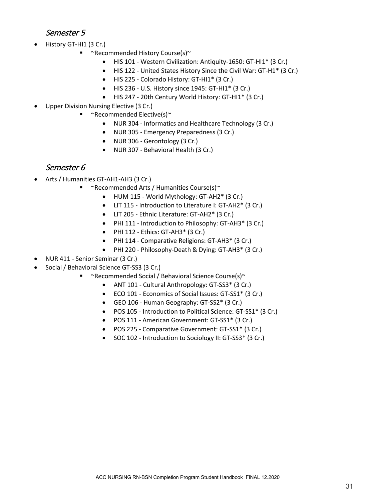# Semester 5

- History GT-HI1 (3 Cr.)
	- ~Recommended History Course(s)~
		- HIS 101 Western Civilization: Antiquity-1650: GT-HI1\* (3 Cr.)
		- HIS 122 United States History Since the Civil War: GT-H1\* (3 Cr.)
		- HIS 225 Colorado History: GT-HI1\* (3 Cr.)
		- HIS 236 U.S. History since 1945: GT-HI1\* (3 Cr.)
		- HIS 247 20th Century World History: GT-HI1\* (3 Cr.)
- Upper Division Nursing Elective (3 Cr.)
	- **•**  $\sim$ Recommended Elective(s) $\sim$ 
		- NUR 304 Informatics and Healthcare Technology (3 Cr.)
		- NUR 305 Emergency Preparedness (3 Cr.)
		- NUR 306 Gerontology (3 Cr.)
		- NUR 307 Behavioral Health (3 Cr.)

# Semester 6

- Arts / Humanities GT-AH1-AH3 (3 Cr.)
	- **•**  $\sim$ Recommended Arts / Humanities Course(s) $\sim$ 
		- HUM 115 World Mythology: GT-AH2\* (3 Cr.)
		- LIT 115 Introduction to Literature I: GT-AH2\* (3 Cr.)
		- LIT 205 Ethnic Literature: GT-AH2\* (3 Cr.)
		- PHI 111 Introduction to Philosophy: GT-AH3\* (3 Cr.)
		- $\bullet$  PHI 112 Ethics: GT-AH3\* (3 Cr.)
		- PHI 114 Comparative Religions: GT-AH3\* (3 Cr.)
		- PHI 220 Philosophy-Death & Dying: GT-AH3\* (3 Cr.)
- NUR 411 Senior Seminar (3 Cr.)
- Social / Behavioral Science GT-SS3 (3 Cr.)
	- ~Recommended Social / Behavioral Science Course(s)~
		- ANT 101 Cultural Anthropology: GT-SS3\* (3 Cr.)
		- ECO 101 Economics of Social Issues: GT-SS1\* (3 Cr.)
		- GEO 106 Human Geography: GT-SS2\* (3 Cr.)
		- POS 105 Introduction to Political Science: GT-SS1\* (3 Cr.)
		- POS 111 American Government: GT-SS1\* (3 Cr.)
		- POS 225 Comparative Government: GT-SS1\* (3 Cr.)
		- SOC 102 Introduction to Sociology II: GT-SS3\* (3 Cr.)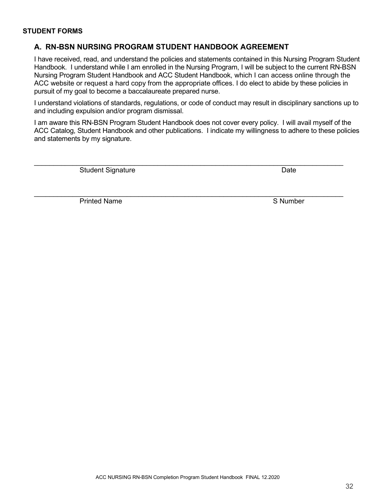#### <span id="page-31-0"></span>**STUDENT FORMS**

### **A. RN-BSN NURSING PROGRAM STUDENT HANDBOOK AGREEMENT**

I have received, read, and understand the policies and statements contained in this Nursing Program Student Handbook. I understand while I am enrolled in the Nursing Program, I will be subject to the current RN-BSN Nursing Program Student Handbook and ACC Student Handbook, which I can access online through the ACC website or request a hard copy from the appropriate offices. I do elect to abide by these policies in pursuit of my goal to become a baccalaureate prepared nurse.

I understand violations of standards, regulations, or code of conduct may result in disciplinary sanctions up to and including expulsion and/or program dismissal.

I am aware this RN-BSN Program Student Handbook does not cover every policy. I will avail myself of the ACC Catalog, Student Handbook and other publications. I indicate my willingness to adhere to these policies and statements by my signature.

 $\_$  , and the set of the set of the set of the set of the set of the set of the set of the set of the set of the set of the set of the set of the set of the set of the set of the set of the set of the set of the set of th

 $\_$  ,  $\_$  ,  $\_$  ,  $\_$  ,  $\_$  ,  $\_$  ,  $\_$  ,  $\_$  ,  $\_$  ,  $\_$  ,  $\_$  ,  $\_$  ,  $\_$  ,  $\_$  ,  $\_$  ,  $\_$  ,  $\_$  ,  $\_$  ,  $\_$  ,  $\_$  ,  $\_$  ,  $\_$  ,  $\_$  ,  $\_$  ,  $\_$  ,  $\_$  ,  $\_$  ,  $\_$  ,  $\_$  ,  $\_$  ,  $\_$  ,  $\_$  ,  $\_$  ,  $\_$  ,  $\_$  ,  $\_$  ,  $\_$  ,

Student Signature Date

Printed Name Solution and Solution and Solution and Solution and Solution and Solution and Solution and Solution and Solution and Solution and Solution and Solution and Solution and Solution and Solution and Solution and S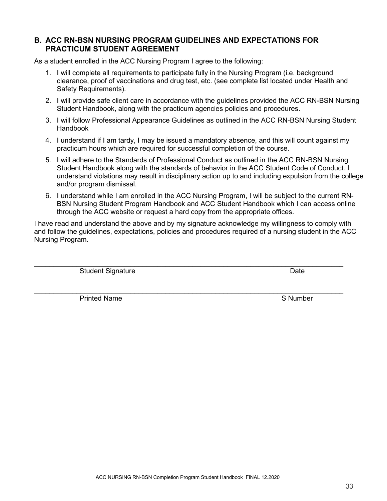ACC NURSING RN-BSN Completion Program Student Handbook FINAL 12.2020

# <span id="page-32-0"></span>**B. ACC RN-BSN NURSING PROGRAM GUIDELINES AND EXPECTATIONS FOR PRACTICUM STUDENT AGREEMENT**

As a student enrolled in the ACC Nursing Program I agree to the following:

- 1. I will complete all requirements to participate fully in the Nursing Program (i.e. background clearance, proof of vaccinations and drug test, etc. (see complete list located under Health and Safety Requirements).
- 2. I will provide safe client care in accordance with the guidelines provided the ACC RN-BSN Nursing Student Handbook, along with the practicum agencies policies and procedures.
- 3. I will follow Professional Appearance Guidelines as outlined in the ACC RN-BSN Nursing Student Handbook
- 4. I understand if I am tardy, I may be issued a mandatory absence, and this will count against my practicum hours which are required for successful completion of the course.
- 5. I will adhere to the Standards of Professional Conduct as outlined in the ACC RN-BSN Nursing Student Handbook along with the standards of behavior in the ACC Student Code of Conduct. I understand violations may result in disciplinary action up to and including expulsion from the college and/or program dismissal.
- 6. I understand while I am enrolled in the ACC Nursing Program, I will be subject to the current RN-BSN Nursing Student Program Handbook and ACC Student Handbook which I can access online through the ACC website or request a hard copy from the appropriate offices.

I have read and understand the above and by my signature acknowledge my willingness to comply with and follow the guidelines, expectations, policies and procedures required of a nursing student in the ACC Nursing Program.

 $\_$  , and the set of the set of the set of the set of the set of the set of the set of the set of the set of the set of the set of the set of the set of the set of the set of the set of the set of the set of the set of th

Student Signature Date Date Controller and Date Date Date

Printed Name Solution and Solution and Solution and Solution and Solution and Solution and Solution and Solution and Solution and Solution and Solution and Solution and Solution and Solution and Solution and Solution and S

33

 $\_$  ,  $\_$  ,  $\_$  ,  $\_$  ,  $\_$  ,  $\_$  ,  $\_$  ,  $\_$  ,  $\_$  ,  $\_$  ,  $\_$  ,  $\_$  ,  $\_$  ,  $\_$  ,  $\_$  ,  $\_$  ,  $\_$  ,  $\_$  ,  $\_$  ,  $\_$  ,  $\_$  ,  $\_$  ,  $\_$  ,  $\_$  ,  $\_$  ,  $\_$  ,  $\_$  ,  $\_$  ,  $\_$  ,  $\_$  ,  $\_$  ,  $\_$  ,  $\_$  ,  $\_$  ,  $\_$  ,  $\_$  ,  $\_$  ,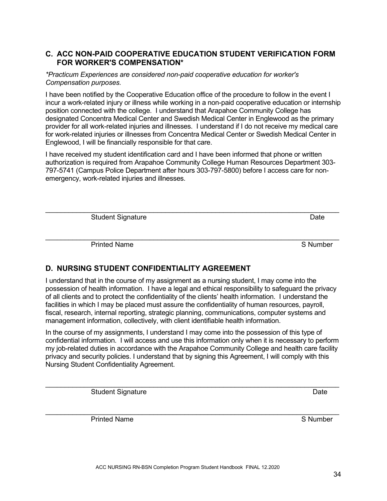### <span id="page-33-0"></span>**C. ACC NON-PAID COOPERATIVE EDUCATION STUDENT VERIFICATION FORM FOR WORKER'S COMPENSATION\***

*\*Practicum Experiences are considered non-paid cooperative education for worker's Compensation purposes.*

I have been notified by the Cooperative Education office of the procedure to follow in the event I incur a work-related injury or illness while working in a non-paid cooperative education or internship position connected with the college. I understand that Arapahoe Community College has designated Concentra Medical Center and Swedish Medical Center in Englewood as the primary provider for all work-related injuries and illnesses. I understand if I do not receive my medical care for work-related injuries or illnesses from Concentra Medical Center or Swedish Medical Center in Englewood, I will be financially responsible for that care.

I have received my student identification card and I have been informed that phone or written authorization is required from Arapahoe Community College Human Resources Department 303- 797-5741 (Campus Police Department after hours 303-797-5800) before I access care for nonemergency, work-related injuries and illnesses.

\_\_\_\_\_\_\_\_\_\_\_\_\_\_\_\_\_\_\_\_\_\_\_\_\_\_\_\_\_\_\_\_\_\_\_\_\_\_\_\_\_\_\_\_\_\_\_\_\_\_\_\_\_\_\_\_\_\_\_\_\_\_\_\_\_\_\_\_\_\_\_\_\_\_\_\_

Student Signature Date Date Controller and Date Date Date

Printed Name S Number S Number

# <span id="page-33-1"></span>**D. NURSING STUDENT CONFIDENTIALITY AGREEMENT**

I understand that in the course of my assignment as a nursing student, I may come into the possession of health information. I have a legal and ethical responsibility to safeguard the privacy of all clients and to protect the confidentiality of the clients' health information. I understand the facilities in which I may be placed must assure the confidentiality of human resources, payroll, fiscal, research, internal reporting, strategic planning, communications, computer systems and management information, collectively, with client identifiable health information.

In the course of my assignments, I understand I may come into the possession of this type of confidential information. I will access and use this information only when it is necessary to perform my job-related duties in accordance with the Arapahoe Community College and health care facility privacy and security policies. I understand that by signing this Agreement, I will comply with this Nursing Student Confidentiality Agreement.

\_\_\_\_\_\_\_\_\_\_\_\_\_\_\_\_\_\_\_\_\_\_\_\_\_\_\_\_\_\_\_\_\_\_\_\_\_\_\_\_\_\_\_\_\_\_\_\_\_\_\_\_\_\_\_\_\_\_\_\_\_\_\_\_\_\_\_\_\_\_\_\_\_\_\_\_

Student Signature Date Date Controller and Date Date Date

\_\_\_\_\_\_\_\_\_\_\_\_\_\_\_\_\_\_\_\_\_\_\_\_\_\_\_\_\_\_\_\_\_\_\_\_\_\_\_\_\_\_\_\_\_\_\_\_\_\_\_\_\_\_\_\_\_\_\_\_\_\_\_\_\_\_\_\_\_\_\_\_\_\_\_\_ Printed Name S Number S Number

 $\mathcal{L}_\mathcal{L} = \{ \mathcal{L}_\mathcal{L} = \{ \mathcal{L}_\mathcal{L} = \{ \mathcal{L}_\mathcal{L} = \{ \mathcal{L}_\mathcal{L} = \{ \mathcal{L}_\mathcal{L} = \{ \mathcal{L}_\mathcal{L} = \{ \mathcal{L}_\mathcal{L} = \{ \mathcal{L}_\mathcal{L} = \{ \mathcal{L}_\mathcal{L} = \{ \mathcal{L}_\mathcal{L} = \{ \mathcal{L}_\mathcal{L} = \{ \mathcal{L}_\mathcal{L} = \{ \mathcal{L}_\mathcal{L} = \{ \mathcal{L}_\mathcal{$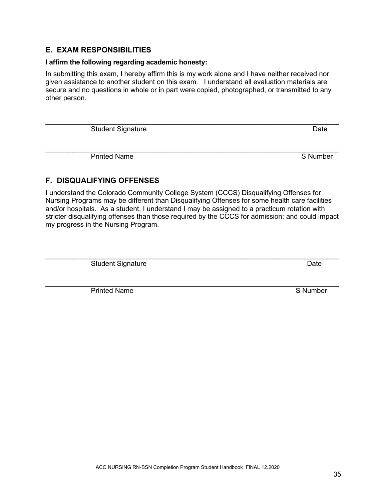# <span id="page-34-0"></span>**E. EXAM RESPONSIBILITIES**

# **I affirm the following regarding academic honesty:**

In submitting this exam, I hereby affirm this is my work alone and I have neither received nor given assistance to another student on this exam. I understand all evaluation materials are secure and no questions in whole or in part were copied, photographed, or transmitted to any other person.

 $\mathcal{L}_\text{max}$  , and the contribution of the contribution of the contribution of the contribution of the contribution of the contribution of the contribution of the contribution of the contribution of the contribution of t Student Signature Date

 $\mathcal{L}_\text{max}$  , and the set of the set of the set of the set of the set of the set of the set of the set of the set of the set of the set of the set of the set of the set of the set of the set of the set of the set of the Printed Name **S** Number

# <span id="page-34-1"></span>**F. DISQUALIFYING OFFENSES**

I understand the Colorado Community College System (CCCS) Disqualifying Offenses for Nursing Programs may be different than Disqualifying Offenses for some health care facilities and/or hospitals. As a student, I understand I may be assigned to a practicum rotation with stricter disqualifying offenses than those required by the CCCS for admission; and could impact my progress in the Nursing Program.

 $\mathcal{L}_\text{max}$  , and the set of the set of the set of the set of the set of the set of the set of the set of the set of the set of the set of the set of the set of the set of the set of the set of the set of the set of the Student Signature Date

Printed Name S Number

 $\mathcal{L}_\text{max}$  , and the contribution of the contribution of the contribution of the contribution of the contribution of the contribution of the contribution of the contribution of the contribution of the contribution of t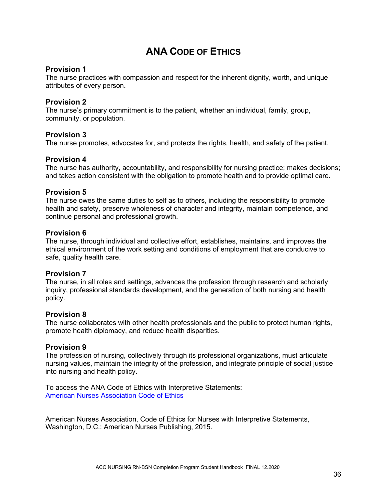# **ANA CODE OF ETHICS**

## <span id="page-35-0"></span>**Provision 1**

The nurse practices with compassion and respect for the inherent dignity, worth, and unique attributes of every person.

### **Provision 2**

The nurse's primary commitment is to the patient, whether an individual, family, group, community, or population.

### **Provision 3**

The nurse promotes, advocates for, and protects the rights, health, and safety of the patient.

### **Provision 4**

The nurse has authority, accountability, and responsibility for nursing practice; makes decisions; and takes action consistent with the obligation to promote health and to provide optimal care.

### **Provision 5**

The nurse owes the same duties to self as to others, including the responsibility to promote health and safety, preserve wholeness of character and integrity, maintain competence, and continue personal and professional growth.

### **Provision 6**

The nurse, through individual and collective effort, establishes, maintains, and improves the ethical environment of the work setting and conditions of employment that are conducive to safe, quality health care.

### **Provision 7**

The nurse, in all roles and settings, advances the profession through research and scholarly inquiry, professional standards development, and the generation of both nursing and health policy.

### **Provision 8**

The nurse collaborates with other health professionals and the public to protect human rights, promote health diplomacy, and reduce health disparities.

### **Provision 9**

The profession of nursing, collectively through its professional organizations, must articulate nursing values, maintain the integrity of the profession, and integrate principle of social justice into nursing and health policy.

To access the ANA Code of Ethics with Interpretive Statements: [American Nurses Association Code of Ethics](http://nursingworld.org/MainMenuCategories/EthicsStandards/CodeofEthicsforNurses/Code-of-Ethics-For-Nurses.html)

American Nurses Association, Code of Ethics for Nurses with Interpretive Statements, Washington, D.C.: American Nurses Publishing, 2015.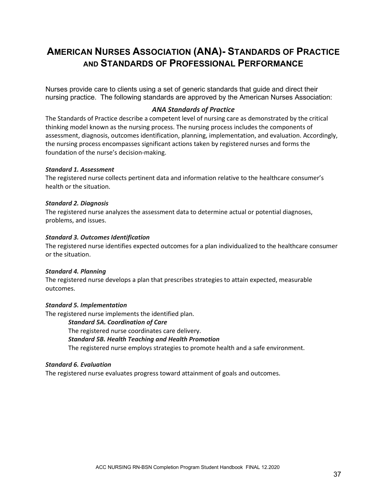# <span id="page-36-0"></span>**AMERICAN NURSES ASSOCIATION (ANA)- STANDARDS OF PRACTICE AND STANDARDS OF PROFESSIONAL PERFORMANCE**

Nurses provide care to clients using a set of generic standards that guide and direct their nursing practice. The following standards are approved by the American Nurses Association:

### *ANA Standards of Practice*

The Standards of Practice describe a competent level of nursing care as demonstrated by the critical thinking model known as the nursing process. The nursing process includes the components of assessment, diagnosis, outcomes identification, planning, implementation, and evaluation. Accordingly, the nursing process encompasses significant actions taken by registered nurses and forms the foundation of the nurse's decision-making.

#### *Standard 1. Assessment*

The registered nurse collects pertinent data and information relative to the healthcare consumer's health or the situation.

#### *Standard 2. Diagnosis*

The registered nurse analyzes the assessment data to determine actual or potential diagnoses, problems, and issues.

#### *Standard 3. Outcomes Identification*

The registered nurse identifies expected outcomes for a plan individualized to the healthcare consumer or the situation.

#### *Standard 4. Planning*

The registered nurse develops a plan that prescribes strategies to attain expected, measurable outcomes.

#### *Standard 5. Implementation*

The registered nurse implements the identified plan.

#### *Standard 5A. Coordination of Care*

The registered nurse coordinates care delivery. *Standard 5B. Health Teaching and Health Promotion* The registered nurse employs strategies to promote health and a safe environment.

#### *Standard 6. Evaluation*

The registered nurse evaluates progress toward attainment of goals and outcomes.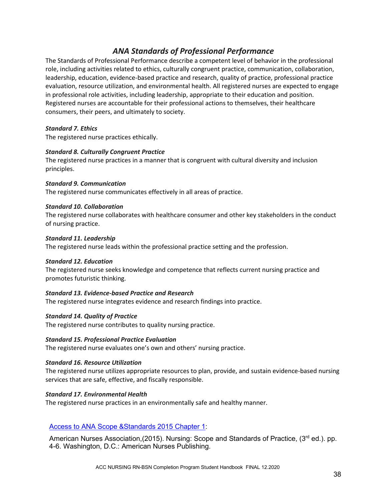# *ANA Standards of Professional Performance*

The Standards of Professional Performance describe a competent level of behavior in the professional role, including activities related to ethics, culturally congruent practice, communication, collaboration, leadership, education, evidence-based practice and research, quality of practice, professional practice evaluation, resource utilization, and environmental health. All registered nurses are expected to engage in professional role activities, including leadership, appropriate to their education and position. Registered nurses are accountable for their professional actions to themselves, their healthcare consumers, their peers, and ultimately to society.

#### *Standard 7. Ethics*

The registered nurse practices ethically.

#### *Standard 8. Culturally Congruent Practice*

The registered nurse practices in a manner that is congruent with cultural diversity and inclusion principles.

#### *Standard 9. Communication*

The registered nurse communicates effectively in all areas of practice.

#### *Standard 10. Collaboration*

The registered nurse collaborates with healthcare consumer and other key stakeholders in the conduct of nursing practice.

#### *Standard 11. Leadership*

The registered nurse leads within the professional practice setting and the profession.

#### *Standard 12. Education*

The registered nurse seeks knowledge and competence that reflects current nursing practice and promotes futuristic thinking.

#### *Standard 13. Evidence-based Practice and Research*

The registered nurse integrates evidence and research findings into practice.

#### *Standard 14. Quality of Practice*

The registered nurse contributes to quality nursing practice.

#### *Standard 15. Professional Practice Evaluation*

The registered nurse evaluates one's own and others' nursing practice.

#### *Standard 16. Resource Utilization*

The registered nurse utilizes appropriate resources to plan, provide, and sustain evidence-based nursing services that are safe, effective, and fiscally responsible.

#### *Standard 17. Environmental Health*

The registered nurse practices in an environmentally safe and healthy manner.

### [Access to ANA Scope &Standards 2015 Chapter 1:](https://www.nursingworld.org/%7E4af71a/globalassets/catalog/book-toc/nssp3e-sample-chapter.pdf)

American Nurses Association, (2015). Nursing: Scope and Standards of Practice, (3<sup>rd</sup> ed.). pp. 4-6. Washington, D.C.: American Nurses Publishing.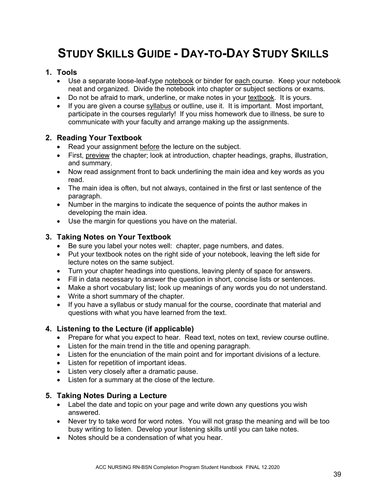# <span id="page-38-0"></span>**STUDY SKILLS GUIDE - DAY-TO-DAY STUDY SKILLS**

# **1. Tools**

- Use a separate loose-leaf-type notebook or binder for each course. Keep your notebook neat and organized. Divide the notebook into chapter or subject sections or exams.
- Do not be afraid to mark, underline, or make notes in your textbook. It is yours.
- If you are given a course syllabus or outline, use it. It is important. Most important, participate in the courses regularly! If you miss homework due to illness, be sure to communicate with your faculty and arrange making up the assignments.

# **2. Reading Your Textbook**

- Read your assignment before the lecture on the subject.
- First, preview the chapter; look at introduction, chapter headings, graphs, illustration, and summary.
- Now read assignment front to back underlining the main idea and key words as you read.
- The main idea is often, but not always, contained in the first or last sentence of the paragraph.
- Number in the margins to indicate the sequence of points the author makes in developing the main idea.
- Use the margin for questions you have on the material.

# **3. Taking Notes on Your Textbook**

- Be sure you label your notes well: chapter, page numbers, and dates.
- Put your textbook notes on the right side of your notebook, leaving the left side for lecture notes on the same subject.
- Turn your chapter headings into questions, leaving plenty of space for answers.
- Fill in data necessary to answer the question in short, concise lists or sentences.
- Make a short vocabulary list; look up meanings of any words you do not understand.
- Write a short summary of the chapter.
- If you have a syllabus or study manual for the course, coordinate that material and questions with what you have learned from the text.

# **4. Listening to the Lecture (if applicable)**

- Prepare for what you expect to hear. Read text, notes on text, review course outline.
- Listen for the main trend in the title and opening paragraph.
- Listen for the enunciation of the main point and for important divisions of a lecture.
- Listen for repetition of important ideas.
- Listen very closely after a dramatic pause.
- Listen for a summary at the close of the lecture.

# **5. Taking Notes During a Lecture**

- Label the date and topic on your page and write down any questions you wish answered.
- Never try to take word for word notes. You will not grasp the meaning and will be too busy writing to listen. Develop your listening skills until you can take notes.
- Notes should be a condensation of what you hear.